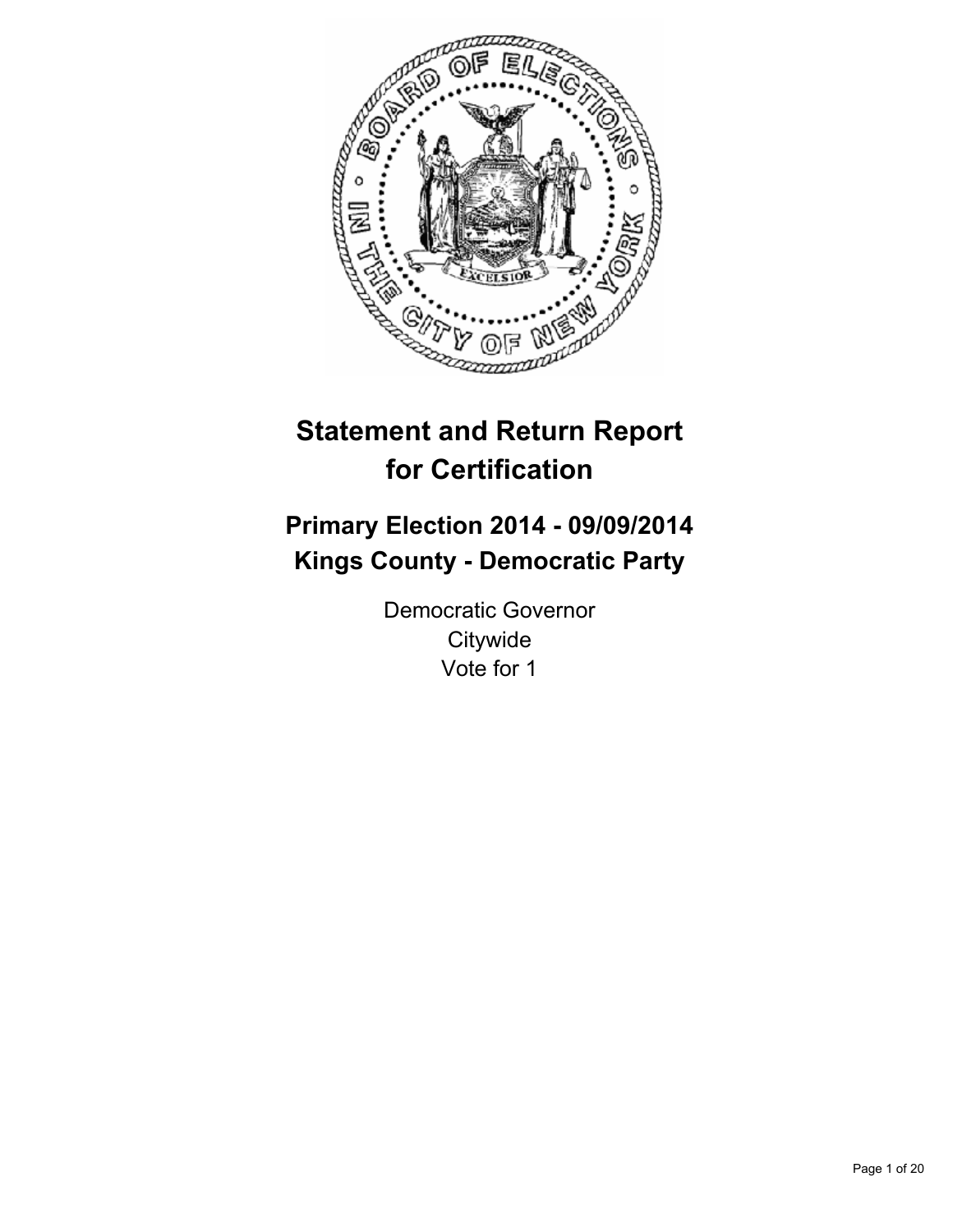

# **Statement and Return Report for Certification**

# **Primary Election 2014 - 09/09/2014 Kings County - Democratic Party**

Democratic Governor **Citywide** Vote for 1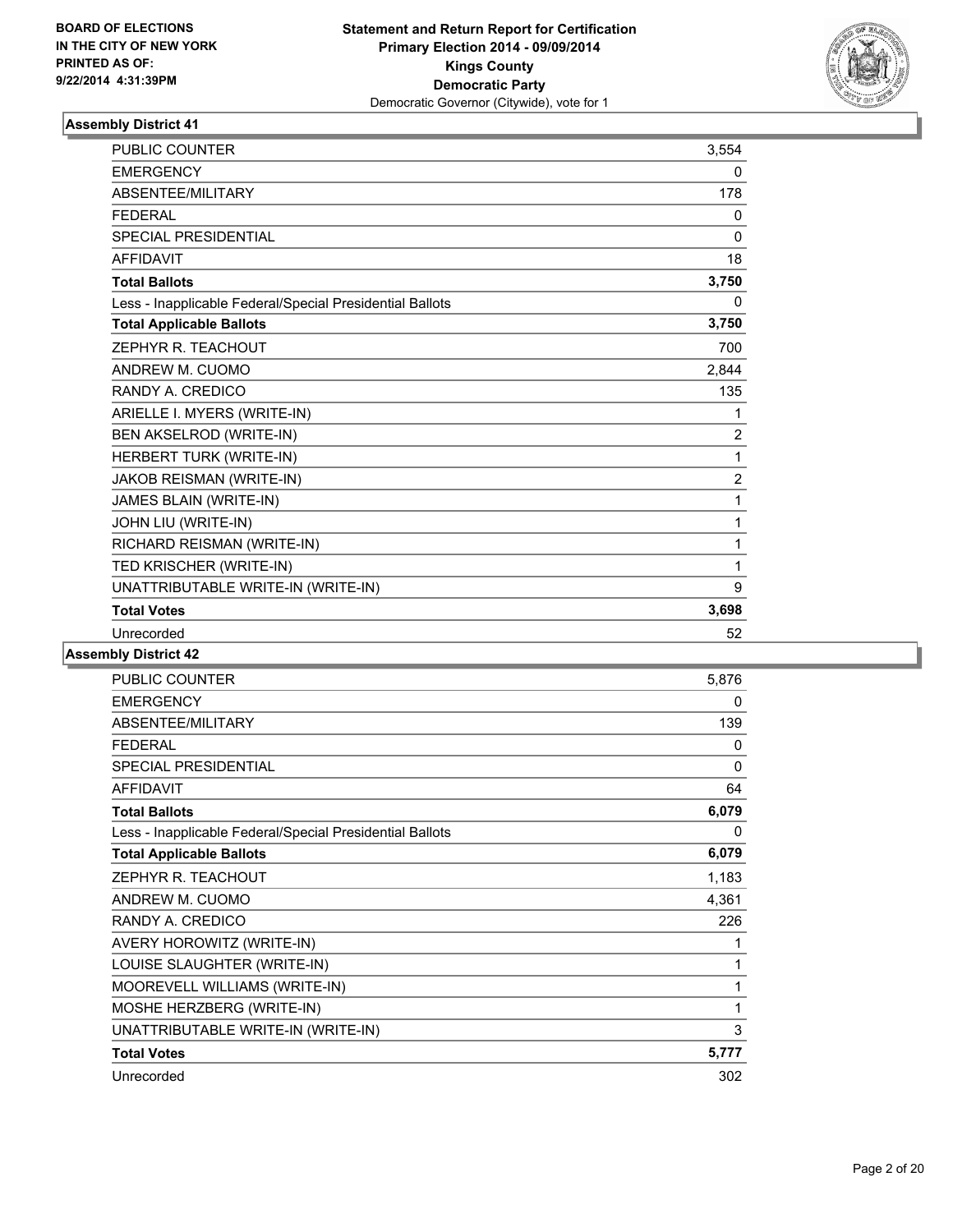

| <b>PUBLIC COUNTER</b>                                    | 3,554          |
|----------------------------------------------------------|----------------|
| <b>EMERGENCY</b>                                         | 0              |
| ABSENTEE/MILITARY                                        | 178            |
| <b>FEDERAL</b>                                           | 0              |
| <b>SPECIAL PRESIDENTIAL</b>                              | 0              |
| <b>AFFIDAVIT</b>                                         | 18             |
| <b>Total Ballots</b>                                     | 3,750          |
| Less - Inapplicable Federal/Special Presidential Ballots | 0              |
| <b>Total Applicable Ballots</b>                          | 3,750          |
| ZEPHYR R. TEACHOUT                                       | 700            |
| ANDREW M. CUOMO                                          | 2,844          |
| RANDY A. CREDICO                                         | 135            |
| ARIELLE I. MYERS (WRITE-IN)                              | 1              |
| BEN AKSELROD (WRITE-IN)                                  | $\overline{2}$ |
| HERBERT TURK (WRITE-IN)                                  | 1              |
| JAKOB REISMAN (WRITE-IN)                                 | $\overline{2}$ |
| JAMES BLAIN (WRITE-IN)                                   | 1              |
| JOHN LIU (WRITE-IN)                                      | 1              |
| RICHARD REISMAN (WRITE-IN)                               | 1              |
| TED KRISCHER (WRITE-IN)                                  | 1              |
| UNATTRIBUTABLE WRITE-IN (WRITE-IN)                       | 9              |
| <b>Total Votes</b>                                       | 3,698          |
| Unrecorded                                               | 52             |

| PUBLIC COUNTER                                           | 5,876 |
|----------------------------------------------------------|-------|
| <b>EMERGENCY</b>                                         | 0     |
| ABSENTEE/MILITARY                                        | 139   |
| <b>FEDERAL</b>                                           | 0     |
| <b>SPECIAL PRESIDENTIAL</b>                              | 0     |
| <b>AFFIDAVIT</b>                                         | 64    |
| <b>Total Ballots</b>                                     | 6,079 |
| Less - Inapplicable Federal/Special Presidential Ballots | 0     |
| <b>Total Applicable Ballots</b>                          | 6,079 |
| ZEPHYR R. TEACHOUT                                       | 1,183 |
| ANDREW M. CUOMO                                          | 4,361 |
| RANDY A. CREDICO                                         | 226   |
| AVERY HOROWITZ (WRITE-IN)                                | 1     |
| LOUISE SLAUGHTER (WRITE-IN)                              | 1     |
| MOOREVELL WILLIAMS (WRITE-IN)                            | 1     |
| MOSHE HERZBERG (WRITE-IN)                                | 1     |
| UNATTRIBUTABLE WRITE-IN (WRITE-IN)                       | 3     |
| <b>Total Votes</b>                                       | 5,777 |
| Unrecorded                                               | 302   |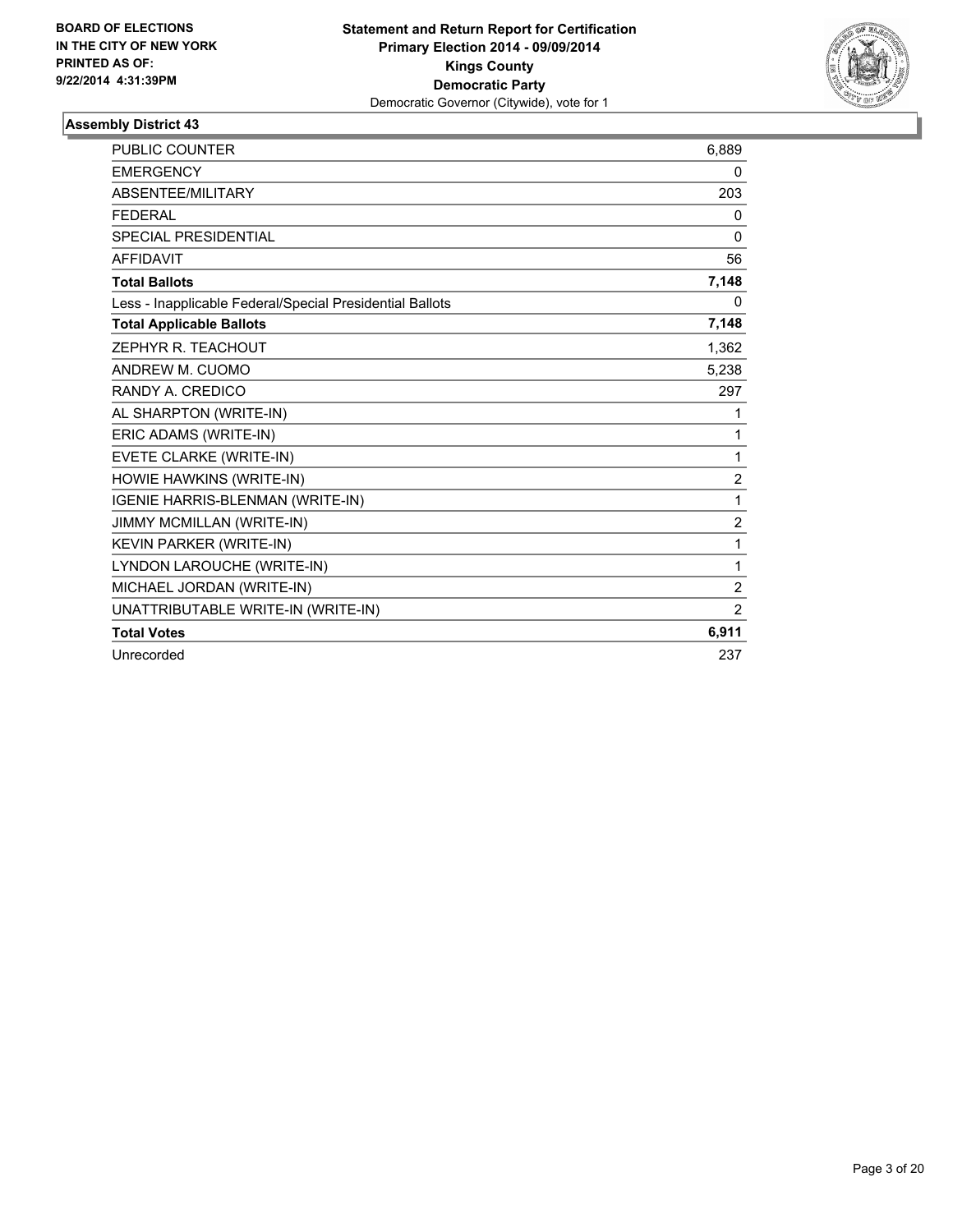

| <b>PUBLIC COUNTER</b>                                    | 6,889          |
|----------------------------------------------------------|----------------|
| <b>EMERGENCY</b>                                         | 0              |
| ABSENTEE/MILITARY                                        | 203            |
| <b>FEDERAL</b>                                           | 0              |
| <b>SPECIAL PRESIDENTIAL</b>                              | $\mathbf{0}$   |
| <b>AFFIDAVIT</b>                                         | 56             |
| <b>Total Ballots</b>                                     | 7,148          |
| Less - Inapplicable Federal/Special Presidential Ballots | 0              |
| <b>Total Applicable Ballots</b>                          | 7,148          |
| ZEPHYR R. TEACHOUT                                       | 1,362          |
| ANDREW M. CUOMO                                          | 5,238          |
| RANDY A. CREDICO                                         | 297            |
| AL SHARPTON (WRITE-IN)                                   | 1              |
| ERIC ADAMS (WRITE-IN)                                    | 1              |
| EVETE CLARKE (WRITE-IN)                                  | 1              |
| HOWIE HAWKINS (WRITE-IN)                                 | $\overline{2}$ |
| IGENIE HARRIS-BLENMAN (WRITE-IN)                         | 1              |
| JIMMY MCMILLAN (WRITE-IN)                                | 2              |
| KEVIN PARKER (WRITE-IN)                                  | 1              |
| LYNDON LAROUCHE (WRITE-IN)                               | 1              |
| MICHAEL JORDAN (WRITE-IN)                                | $\overline{2}$ |
| UNATTRIBUTABLE WRITE-IN (WRITE-IN)                       | $\overline{2}$ |
| <b>Total Votes</b>                                       | 6,911          |
| Unrecorded                                               | 237            |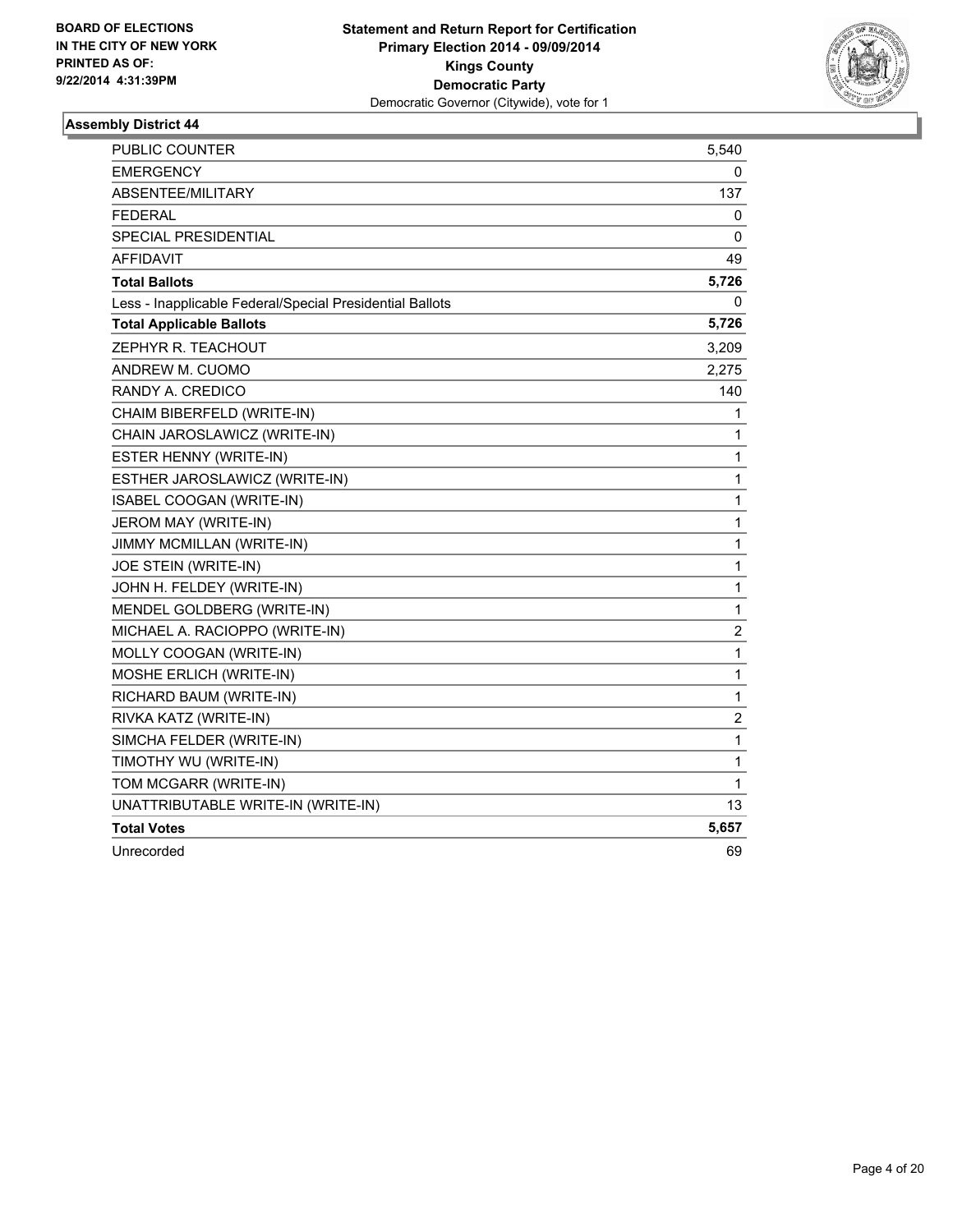

| PUBLIC COUNTER                                           | 5,540                   |
|----------------------------------------------------------|-------------------------|
| <b>EMERGENCY</b>                                         | 0                       |
| ABSENTEE/MILITARY                                        | 137                     |
| <b>FEDERAL</b>                                           | 0                       |
| <b>SPECIAL PRESIDENTIAL</b>                              | 0                       |
| <b>AFFIDAVIT</b>                                         | 49                      |
| <b>Total Ballots</b>                                     | 5,726                   |
| Less - Inapplicable Federal/Special Presidential Ballots | 0                       |
| <b>Total Applicable Ballots</b>                          | 5,726                   |
| ZEPHYR R. TEACHOUT                                       | 3,209                   |
| ANDREW M. CUOMO                                          | 2,275                   |
| RANDY A. CREDICO                                         | 140                     |
| CHAIM BIBERFELD (WRITE-IN)                               | 1                       |
| CHAIN JAROSLAWICZ (WRITE-IN)                             | 1                       |
| ESTER HENNY (WRITE-IN)                                   | 1                       |
| ESTHER JAROSLAWICZ (WRITE-IN)                            | 1                       |
| <b>ISABEL COOGAN (WRITE-IN)</b>                          | 1                       |
| JEROM MAY (WRITE-IN)                                     | $\mathbf 1$             |
| JIMMY MCMILLAN (WRITE-IN)                                | $\mathbf 1$             |
| JOE STEIN (WRITE-IN)                                     | 1                       |
| JOHN H. FELDEY (WRITE-IN)                                | 1                       |
| MENDEL GOLDBERG (WRITE-IN)                               | 1                       |
| MICHAEL A. RACIOPPO (WRITE-IN)                           | 2                       |
| MOLLY COOGAN (WRITE-IN)                                  | 1                       |
| MOSHE ERLICH (WRITE-IN)                                  | $\mathbf 1$             |
| RICHARD BAUM (WRITE-IN)                                  | 1                       |
| RIVKA KATZ (WRITE-IN)                                    | $\overline{\mathbf{c}}$ |
| SIMCHA FELDER (WRITE-IN)                                 | $\mathbf 1$             |
| TIMOTHY WU (WRITE-IN)                                    | $\mathbf{1}$            |
| TOM MCGARR (WRITE-IN)                                    | 1                       |
| UNATTRIBUTABLE WRITE-IN (WRITE-IN)                       | 13                      |
| <b>Total Votes</b>                                       | 5,657                   |
| Unrecorded                                               | 69                      |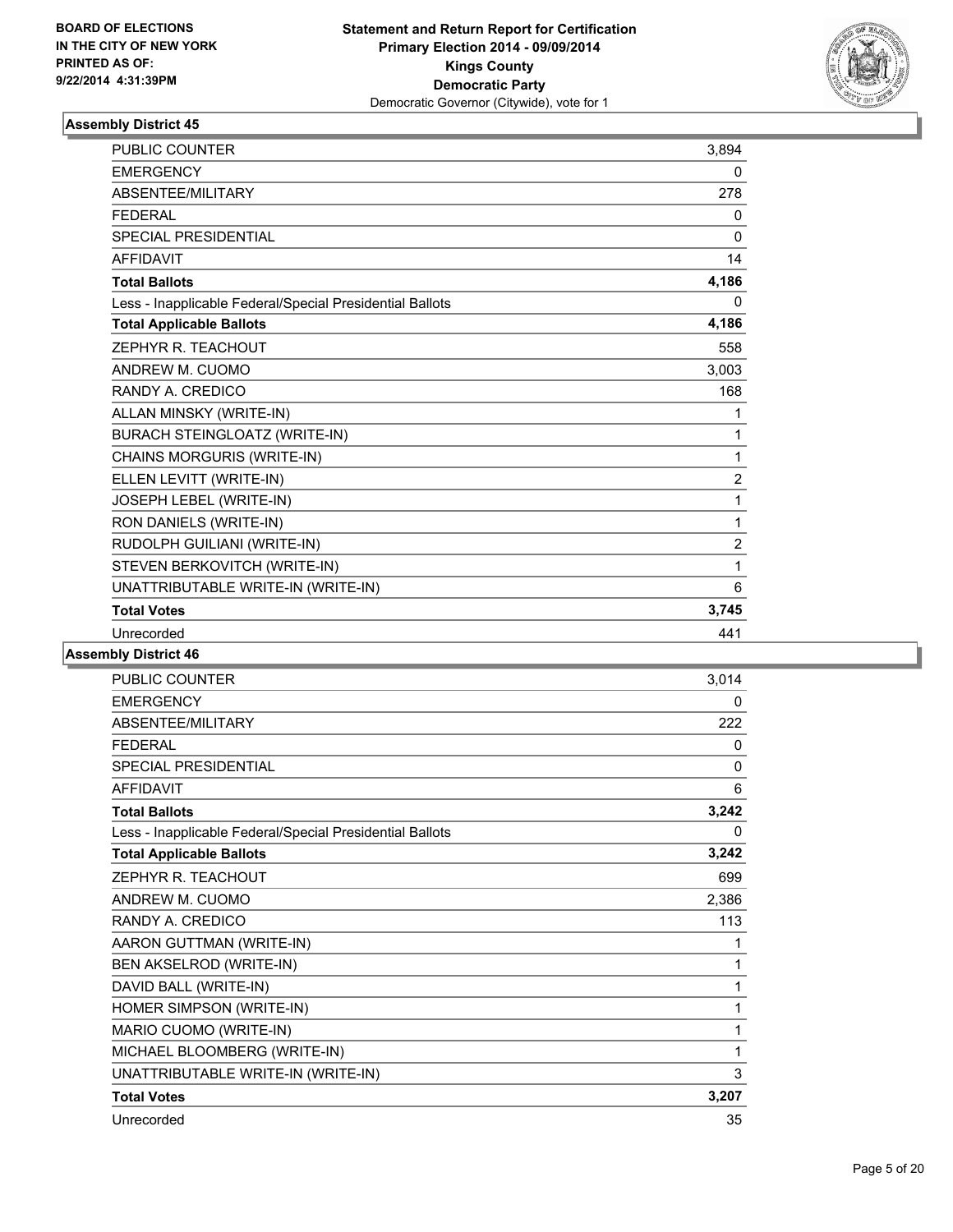

| <b>PUBLIC COUNTER</b>                                    | 3,894          |
|----------------------------------------------------------|----------------|
| <b>EMERGENCY</b>                                         | 0              |
| ABSENTEE/MILITARY                                        | 278            |
| <b>FEDERAL</b>                                           | 0              |
| <b>SPECIAL PRESIDENTIAL</b>                              | $\Omega$       |
| <b>AFFIDAVIT</b>                                         | 14             |
| <b>Total Ballots</b>                                     | 4,186          |
| Less - Inapplicable Federal/Special Presidential Ballots | 0              |
| <b>Total Applicable Ballots</b>                          | 4,186          |
| ZEPHYR R. TEACHOUT                                       | 558            |
| ANDREW M. CUOMO                                          | 3,003          |
| RANDY A. CREDICO                                         | 168            |
| ALLAN MINSKY (WRITE-IN)                                  | 1              |
| <b>BURACH STEINGLOATZ (WRITE-IN)</b>                     | 1              |
| CHAINS MORGURIS (WRITE-IN)                               | 1              |
| ELLEN LEVITT (WRITE-IN)                                  | $\overline{2}$ |
| JOSEPH LEBEL (WRITE-IN)                                  | 1              |
| RON DANIELS (WRITE-IN)                                   | 1              |
| RUDOLPH GUILIANI (WRITE-IN)                              | $\overline{2}$ |
| STEVEN BERKOVITCH (WRITE-IN)                             | 1              |
| UNATTRIBUTABLE WRITE-IN (WRITE-IN)                       | 6              |
| <b>Total Votes</b>                                       | 3,745          |
| Unrecorded                                               | 441            |

| PUBLIC COUNTER                                           | 3,014 |
|----------------------------------------------------------|-------|
| <b>EMERGENCY</b>                                         | 0     |
| ABSENTEE/MILITARY                                        | 222   |
| <b>FFDFRAL</b>                                           | 0     |
| <b>SPECIAL PRESIDENTIAL</b>                              | 0     |
| <b>AFFIDAVIT</b>                                         | 6     |
| <b>Total Ballots</b>                                     | 3,242 |
| Less - Inapplicable Federal/Special Presidential Ballots | 0     |
| <b>Total Applicable Ballots</b>                          | 3,242 |
| ZEPHYR R. TEACHOUT                                       | 699   |
| ANDREW M. CUOMO                                          | 2,386 |
| RANDY A. CREDICO                                         | 113   |
| AARON GUTTMAN (WRITE-IN)                                 | 1     |
| BEN AKSELROD (WRITE-IN)                                  | 1     |
| DAVID BALL (WRITE-IN)                                    | 1     |
| HOMER SIMPSON (WRITE-IN)                                 | 1     |
| MARIO CUOMO (WRITE-IN)                                   | 1     |
| MICHAEL BLOOMBERG (WRITE-IN)                             | 1     |
| UNATTRIBUTABLE WRITE-IN (WRITE-IN)                       | 3     |
| <b>Total Votes</b>                                       | 3,207 |
| Unrecorded                                               | 35    |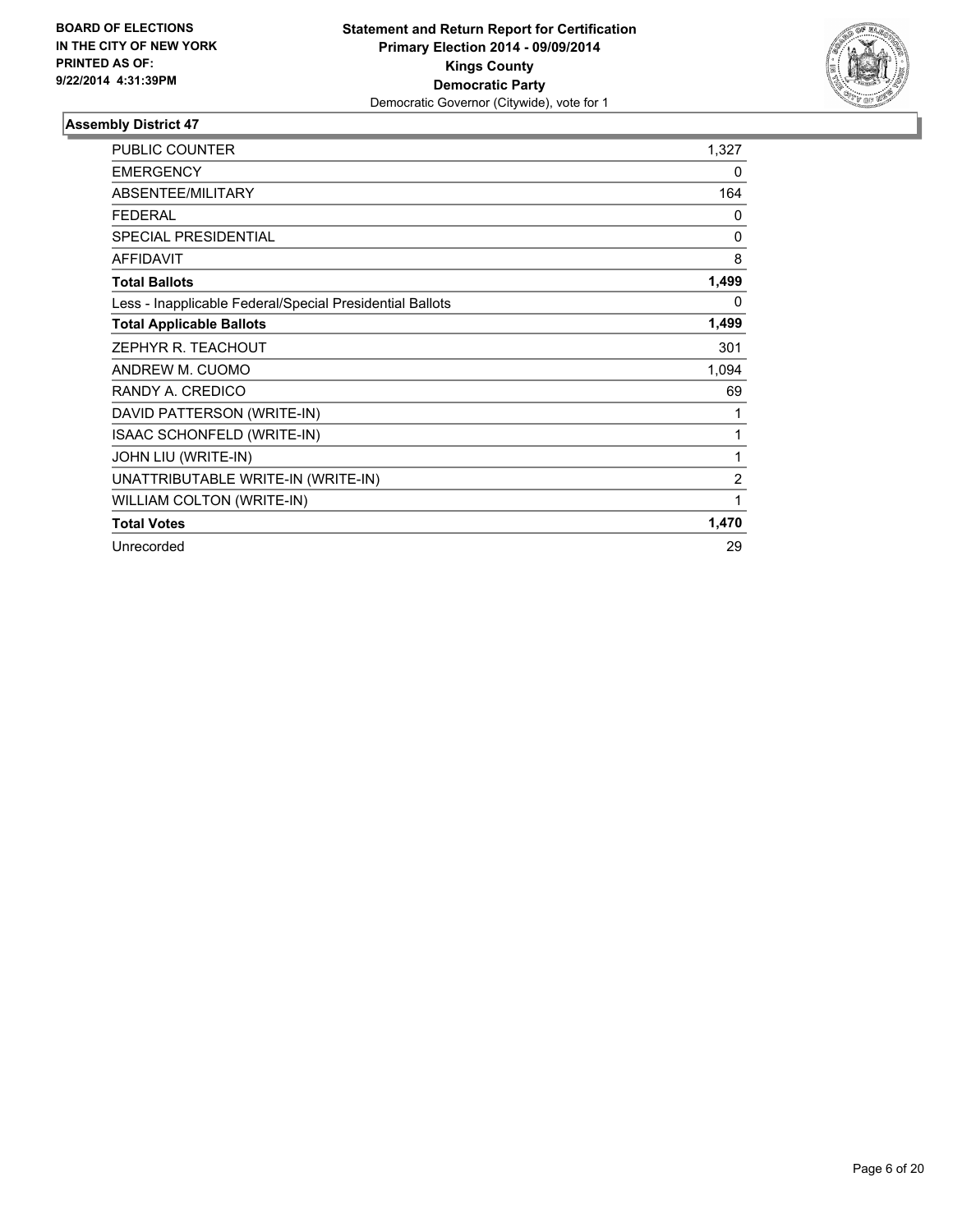

| <b>PUBLIC COUNTER</b>                                    | 1,327          |
|----------------------------------------------------------|----------------|
| <b>EMERGENCY</b>                                         | 0              |
| ABSENTEE/MILITARY                                        | 164            |
| <b>FEDERAL</b>                                           | 0              |
| <b>SPECIAL PRESIDENTIAL</b>                              | $\Omega$       |
| <b>AFFIDAVIT</b>                                         | 8              |
| <b>Total Ballots</b>                                     | 1,499          |
| Less - Inapplicable Federal/Special Presidential Ballots | $\Omega$       |
| <b>Total Applicable Ballots</b>                          | 1,499          |
| ZEPHYR R. TEACHOUT                                       | 301            |
| ANDREW M. CUOMO                                          | 1,094          |
| RANDY A. CREDICO                                         | 69             |
| DAVID PATTERSON (WRITE-IN)                               |                |
| ISAAC SCHONFELD (WRITE-IN)                               | 1              |
| JOHN LIU (WRITE-IN)                                      | 1              |
| UNATTRIBUTABLE WRITE-IN (WRITE-IN)                       | $\overline{2}$ |
| WILLIAM COLTON (WRITE-IN)                                | 1              |
| <b>Total Votes</b>                                       | 1,470          |
| Unrecorded                                               | 29             |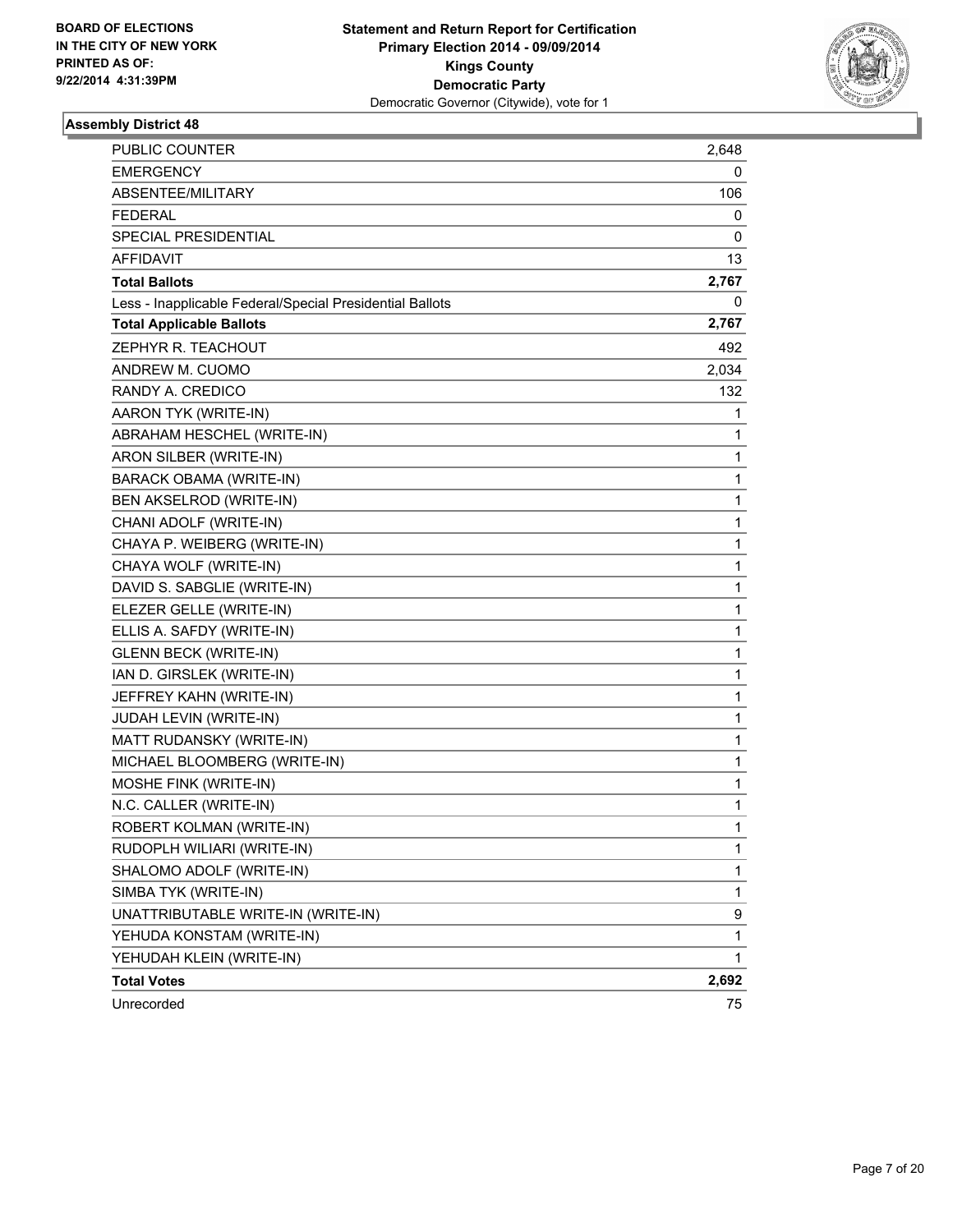

| <b>PUBLIC COUNTER</b>                                    | 2,648        |
|----------------------------------------------------------|--------------|
| EMERGENCY                                                | 0            |
| ABSENTEE/MILITARY                                        | 106          |
| <b>FEDERAL</b>                                           | 0            |
| SPECIAL PRESIDENTIAL                                     | 0            |
| <b>AFFIDAVIT</b>                                         | 13           |
| <b>Total Ballots</b>                                     | 2,767        |
| Less - Inapplicable Federal/Special Presidential Ballots | 0            |
| <b>Total Applicable Ballots</b>                          | 2,767        |
| ZEPHYR R. TEACHOUT                                       | 492          |
| ANDREW M. CUOMO                                          | 2,034        |
| RANDY A. CREDICO                                         | 132          |
| AARON TYK (WRITE-IN)                                     | 1            |
| ABRAHAM HESCHEL (WRITE-IN)                               | 1            |
| ARON SILBER (WRITE-IN)                                   | 1            |
| BARACK OBAMA (WRITE-IN)                                  | 1            |
| BEN AKSELROD (WRITE-IN)                                  | 1            |
| CHANI ADOLF (WRITE-IN)                                   | 1            |
| CHAYA P. WEIBERG (WRITE-IN)                              | 1            |
| CHAYA WOLF (WRITE-IN)                                    | 1            |
| DAVID S. SABGLIE (WRITE-IN)                              | 1            |
| ELEZER GELLE (WRITE-IN)                                  | 1            |
| ELLIS A. SAFDY (WRITE-IN)                                | 1            |
| <b>GLENN BECK (WRITE-IN)</b>                             | 1            |
| IAN D. GIRSLEK (WRITE-IN)                                | 1            |
| JEFFREY KAHN (WRITE-IN)                                  | 1            |
| JUDAH LEVIN (WRITE-IN)                                   | 1            |
| MATT RUDANSKY (WRITE-IN)                                 | 1            |
| MICHAEL BLOOMBERG (WRITE-IN)                             | 1            |
| MOSHE FINK (WRITE-IN)                                    | 1            |
| N.C. CALLER (WRITE-IN)                                   | 1            |
| ROBERT KOLMAN (WRITE-IN)                                 | $\mathbf{1}$ |
| RUDOPLH WILIARI (WRITE-IN)                               | 1            |
| SHALOMO ADOLF (WRITE-IN)                                 | 1            |
| SIMBA TYK (WRITE-IN)                                     | $\mathbf{1}$ |
| UNATTRIBUTABLE WRITE-IN (WRITE-IN)                       | 9            |
| YEHUDA KONSTAM (WRITE-IN)                                | 1            |
| YEHUDAH KLEIN (WRITE-IN)                                 | $\mathbf 1$  |
| <b>Total Votes</b>                                       | 2,692        |
| Unrecorded                                               | 75           |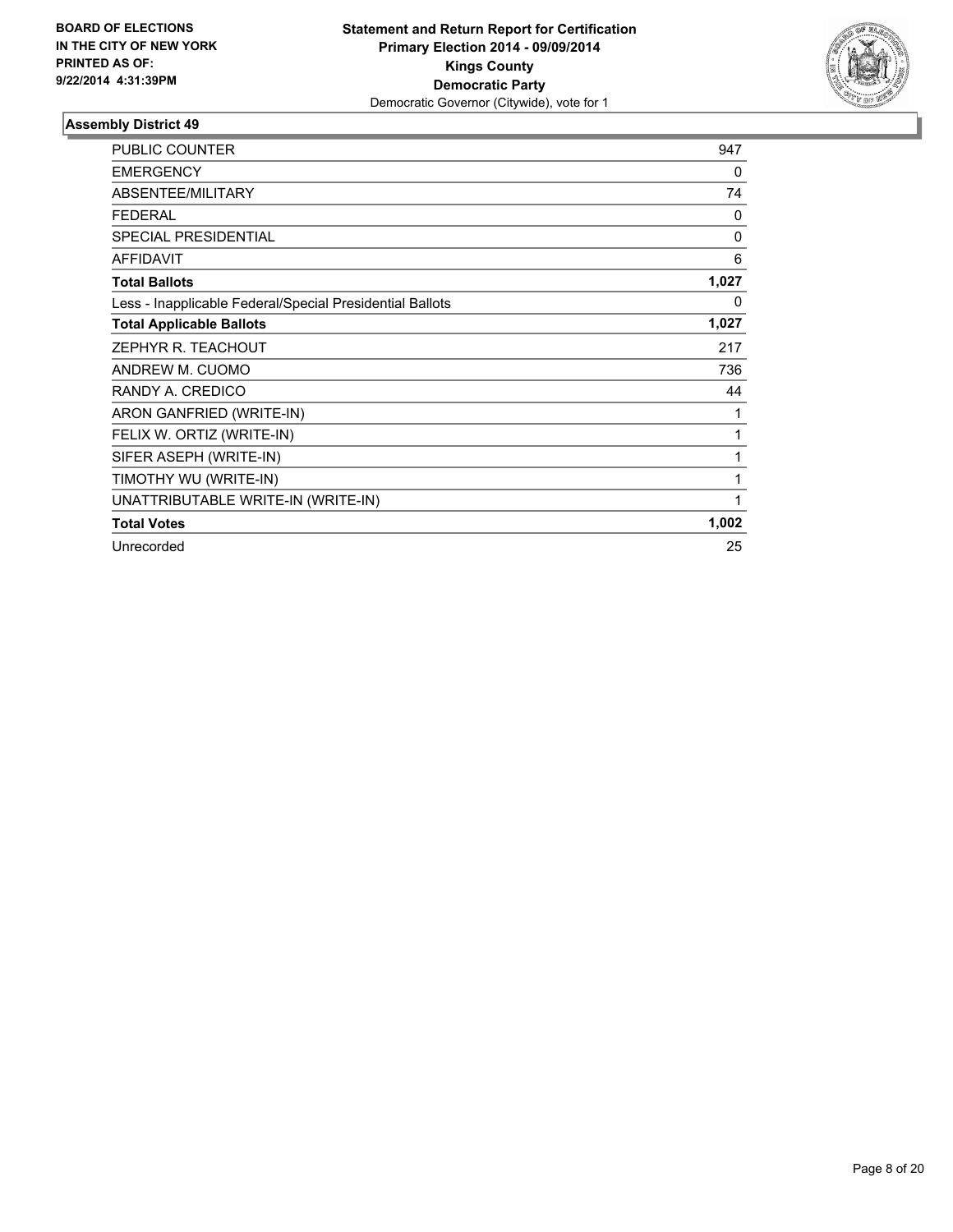

| <b>PUBLIC COUNTER</b>                                    | 947      |
|----------------------------------------------------------|----------|
| <b>EMERGENCY</b>                                         | 0        |
| ABSENTEE/MILITARY                                        | 74       |
| <b>FEDERAL</b>                                           | 0        |
| <b>SPECIAL PRESIDENTIAL</b>                              | $\Omega$ |
| <b>AFFIDAVIT</b>                                         | 6        |
| <b>Total Ballots</b>                                     | 1,027    |
| Less - Inapplicable Federal/Special Presidential Ballots | 0        |
| <b>Total Applicable Ballots</b>                          | 1,027    |
| ZEPHYR R. TEACHOUT                                       | 217      |
| ANDREW M. CUOMO                                          | 736      |
| RANDY A. CREDICO                                         | 44       |
| ARON GANFRIED (WRITE-IN)                                 | 1        |
| FELIX W. ORTIZ (WRITE-IN)                                | 1        |
| SIFER ASEPH (WRITE-IN)                                   | 1        |
| TIMOTHY WU (WRITE-IN)                                    | 1        |
| UNATTRIBUTABLE WRITE-IN (WRITE-IN)                       | 1        |
| <b>Total Votes</b>                                       | 1,002    |
| Unrecorded                                               | 25       |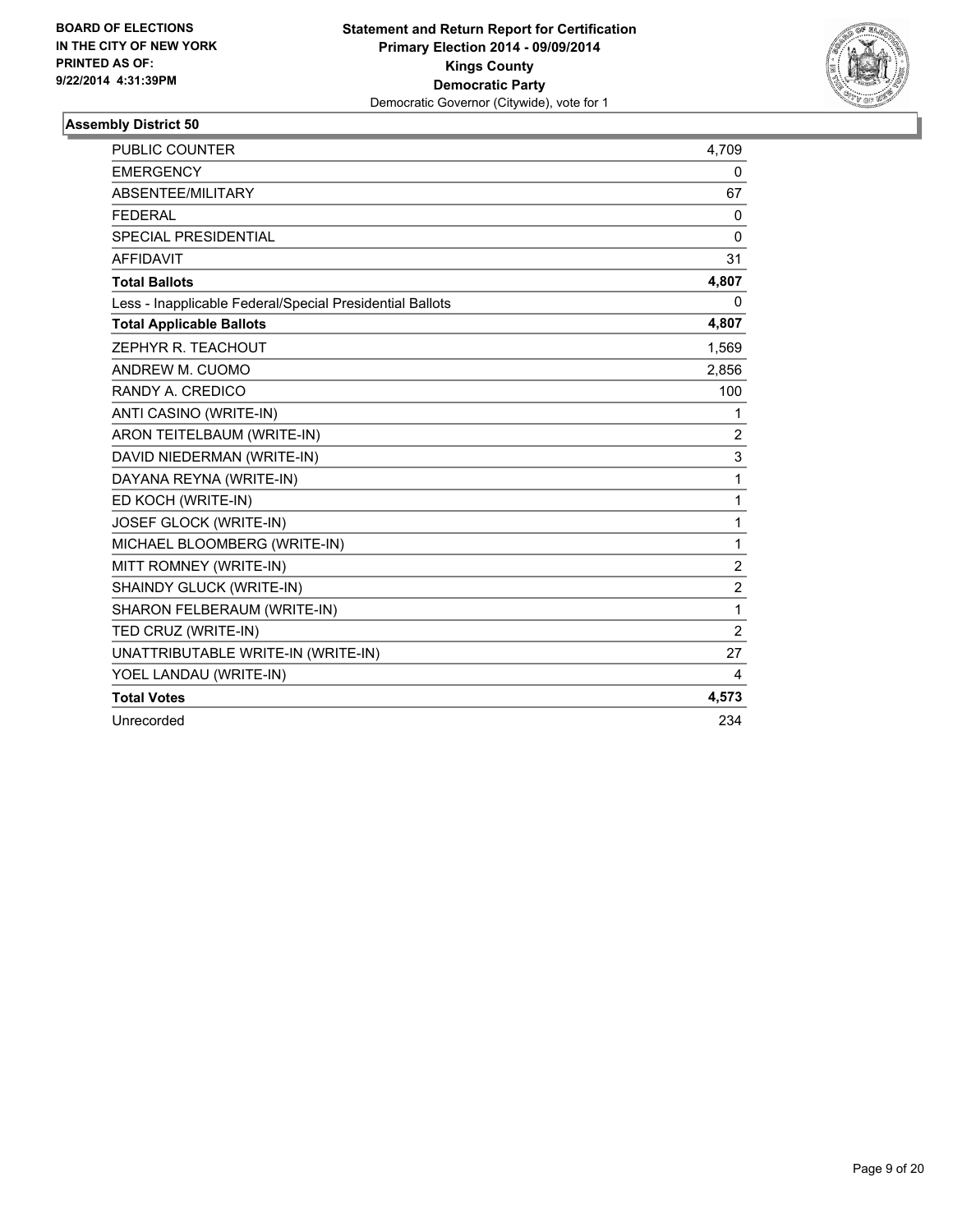

| PUBLIC COUNTER                                           | 4,709          |
|----------------------------------------------------------|----------------|
| <b>EMERGENCY</b>                                         | 0              |
| ABSENTEE/MILITARY                                        | 67             |
| <b>FFDFRAL</b>                                           | $\mathbf{0}$   |
| SPECIAL PRESIDENTIAL                                     | $\mathbf{0}$   |
| <b>AFFIDAVIT</b>                                         | 31             |
| <b>Total Ballots</b>                                     | 4,807          |
| Less - Inapplicable Federal/Special Presidential Ballots | 0              |
| <b>Total Applicable Ballots</b>                          | 4,807          |
| ZEPHYR R. TEACHOUT                                       | 1,569          |
| ANDREW M. CUOMO                                          | 2,856          |
| RANDY A. CREDICO                                         | 100            |
| ANTI CASINO (WRITE-IN)                                   | 1              |
| ARON TEITELBAUM (WRITE-IN)                               | $\overline{2}$ |
| DAVID NIEDERMAN (WRITE-IN)                               | 3              |
| DAYANA REYNA (WRITE-IN)                                  | 1              |
| ED KOCH (WRITE-IN)                                       | 1              |
| JOSEF GLOCK (WRITE-IN)                                   | 1              |
| MICHAEL BLOOMBERG (WRITE-IN)                             | 1              |
| MITT ROMNEY (WRITE-IN)                                   | 2              |
| SHAINDY GLUCK (WRITE-IN)                                 | $\overline{2}$ |
| SHARON FELBERAUM (WRITE-IN)                              | 1              |
| TED CRUZ (WRITE-IN)                                      | $\overline{2}$ |
| UNATTRIBUTABLE WRITE-IN (WRITE-IN)                       | 27             |
| YOEL LANDAU (WRITE-IN)                                   | 4              |
| <b>Total Votes</b>                                       | 4,573          |
| Unrecorded                                               | 234            |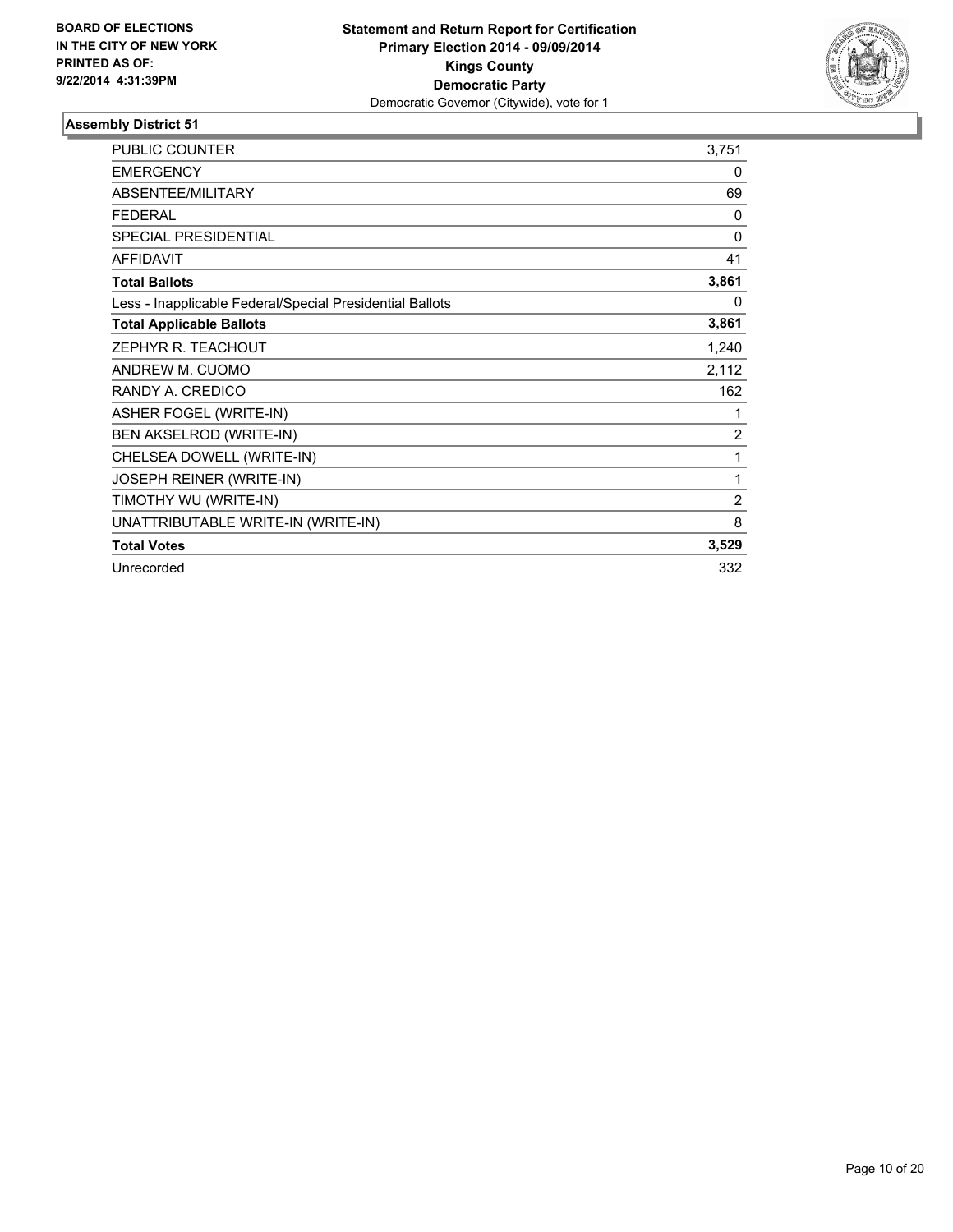

| <b>PUBLIC COUNTER</b>                                    | 3,751          |
|----------------------------------------------------------|----------------|
| <b>EMERGENCY</b>                                         | 0              |
| ABSENTEE/MILITARY                                        | 69             |
| <b>FEDERAL</b>                                           | $\mathbf{0}$   |
| <b>SPECIAL PRESIDENTIAL</b>                              | 0              |
| <b>AFFIDAVIT</b>                                         | 41             |
| <b>Total Ballots</b>                                     | 3,861          |
| Less - Inapplicable Federal/Special Presidential Ballots | 0              |
| <b>Total Applicable Ballots</b>                          | 3,861          |
| ZEPHYR R. TEACHOUT                                       | 1,240          |
| ANDREW M. CUOMO                                          | 2,112          |
| RANDY A. CREDICO                                         | 162            |
| ASHER FOGEL (WRITE-IN)                                   | 1              |
| BEN AKSELROD (WRITE-IN)                                  | 2              |
| CHELSEA DOWELL (WRITE-IN)                                | 1              |
| <b>JOSEPH REINER (WRITE-IN)</b>                          | 1              |
| TIMOTHY WU (WRITE-IN)                                    | $\overline{2}$ |
| UNATTRIBUTABLE WRITE-IN (WRITE-IN)                       | 8              |
| <b>Total Votes</b>                                       | 3,529          |
| Unrecorded                                               | 332            |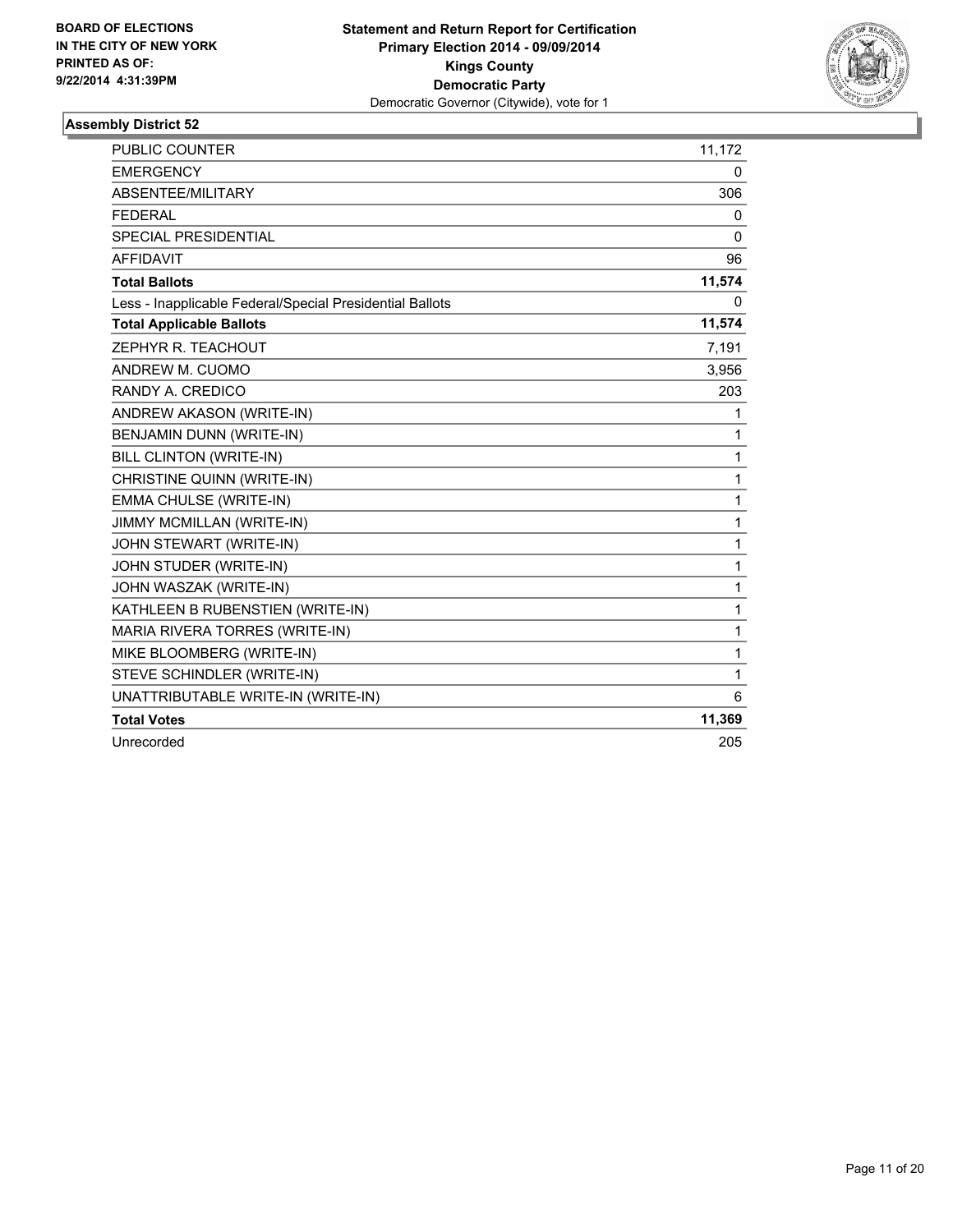

| <b>PUBLIC COUNTER</b>                                    | 11,172       |
|----------------------------------------------------------|--------------|
| <b>EMERGENCY</b>                                         | 0            |
| ABSENTEE/MILITARY                                        | 306          |
| <b>FEDERAL</b>                                           | 0            |
| <b>SPECIAL PRESIDENTIAL</b>                              | 0            |
| <b>AFFIDAVIT</b>                                         | 96           |
| <b>Total Ballots</b>                                     | 11,574       |
| Less - Inapplicable Federal/Special Presidential Ballots | 0            |
| <b>Total Applicable Ballots</b>                          | 11,574       |
| ZEPHYR R. TEACHOUT                                       | 7,191        |
| ANDREW M. CUOMO                                          | 3,956        |
| RANDY A. CREDICO                                         | 203          |
| ANDREW AKASON (WRITE-IN)                                 | 1            |
| BENJAMIN DUNN (WRITE-IN)                                 | 1            |
| BILL CLINTON (WRITE-IN)                                  | 1            |
| CHRISTINE QUINN (WRITE-IN)                               | 1            |
| EMMA CHULSE (WRITE-IN)                                   | 1            |
| JIMMY MCMILLAN (WRITE-IN)                                | 1            |
| JOHN STEWART (WRITE-IN)                                  | $\mathbf{1}$ |
| JOHN STUDER (WRITE-IN)                                   | 1            |
| JOHN WASZAK (WRITE-IN)                                   | 1            |
| KATHLEEN B RUBENSTIEN (WRITE-IN)                         | 1            |
| MARIA RIVERA TORRES (WRITE-IN)                           | 1            |
| MIKE BLOOMBERG (WRITE-IN)                                | 1            |
| STEVE SCHINDLER (WRITE-IN)                               | 1            |
| UNATTRIBUTABLE WRITE-IN (WRITE-IN)                       | 6            |
| <b>Total Votes</b>                                       | 11,369       |
| Unrecorded                                               | 205          |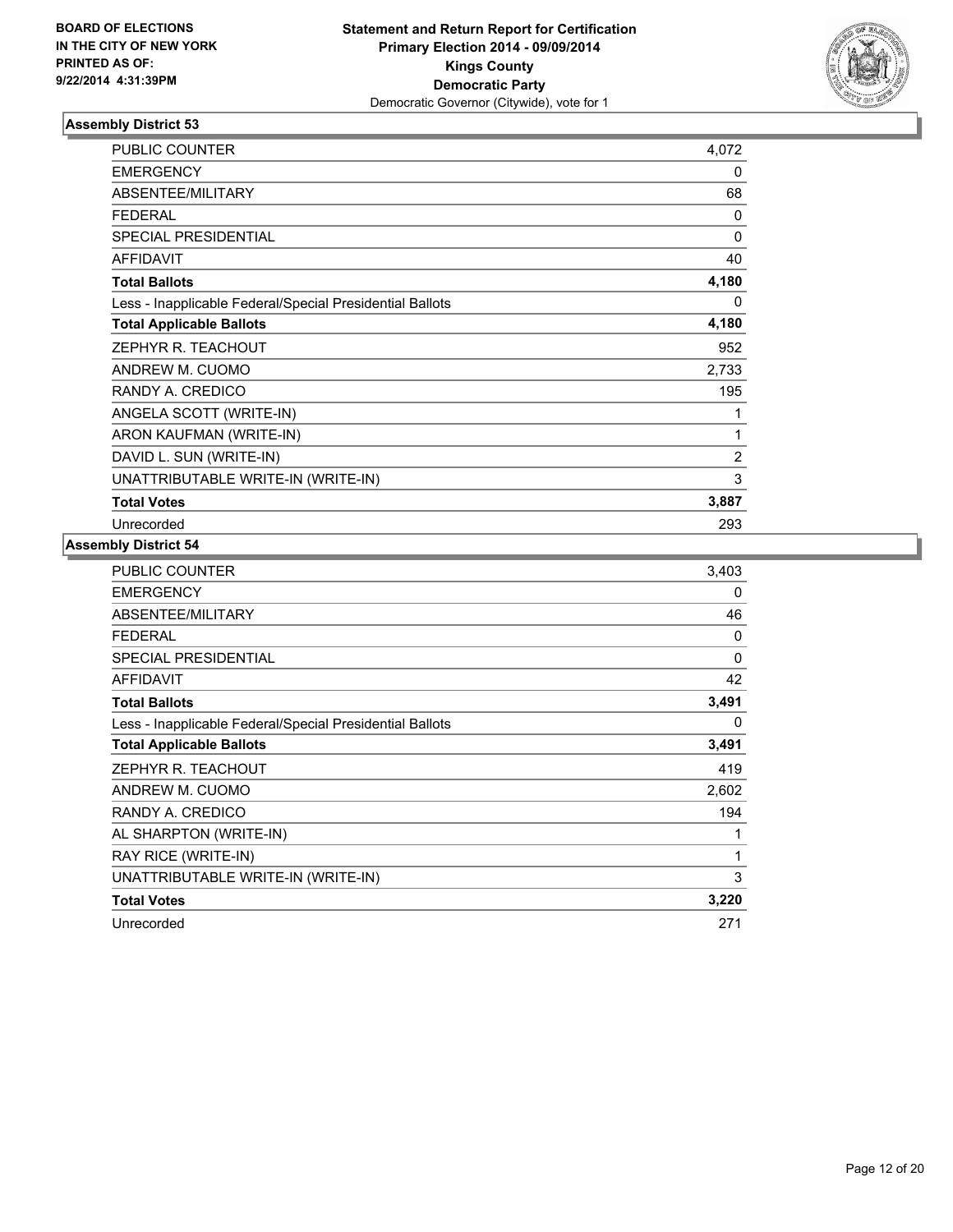

| <b>PUBLIC COUNTER</b>                                    | 4.072          |
|----------------------------------------------------------|----------------|
| <b>EMERGENCY</b>                                         | 0              |
| ABSENTEE/MILITARY                                        | 68             |
| <b>FEDERAL</b>                                           | 0              |
| <b>SPECIAL PRESIDENTIAL</b>                              | 0              |
| <b>AFFIDAVIT</b>                                         | 40             |
| <b>Total Ballots</b>                                     | 4,180          |
| Less - Inapplicable Federal/Special Presidential Ballots | 0              |
| <b>Total Applicable Ballots</b>                          | 4,180          |
| ZEPHYR R. TEACHOUT                                       | 952            |
| ANDREW M. CUOMO                                          | 2,733          |
| RANDY A. CREDICO                                         | 195            |
| ANGELA SCOTT (WRITE-IN)                                  | 1              |
| ARON KAUFMAN (WRITE-IN)                                  | 1              |
| DAVID L. SUN (WRITE-IN)                                  | $\overline{2}$ |
| UNATTRIBUTABLE WRITE-IN (WRITE-IN)                       | 3              |
| <b>Total Votes</b>                                       | 3,887          |
| Unrecorded                                               | 293            |

| <b>PUBLIC COUNTER</b>                                    | 3,403 |
|----------------------------------------------------------|-------|
| <b>EMERGENCY</b>                                         | 0     |
| <b>ABSENTEE/MILITARY</b>                                 | 46    |
| <b>FEDERAL</b>                                           | 0     |
| <b>SPECIAL PRESIDENTIAL</b>                              | 0     |
| <b>AFFIDAVIT</b>                                         | 42    |
| <b>Total Ballots</b>                                     | 3,491 |
| Less - Inapplicable Federal/Special Presidential Ballots | 0     |
| <b>Total Applicable Ballots</b>                          | 3,491 |
| ZEPHYR R. TEACHOUT                                       | 419   |
| ANDREW M. CUOMO                                          | 2,602 |
| RANDY A. CREDICO                                         | 194   |
| AL SHARPTON (WRITE-IN)                                   | 1     |
| RAY RICE (WRITE-IN)                                      | 1     |
| UNATTRIBUTABLE WRITE-IN (WRITE-IN)                       | 3     |
| <b>Total Votes</b>                                       | 3,220 |
| Unrecorded                                               | 271   |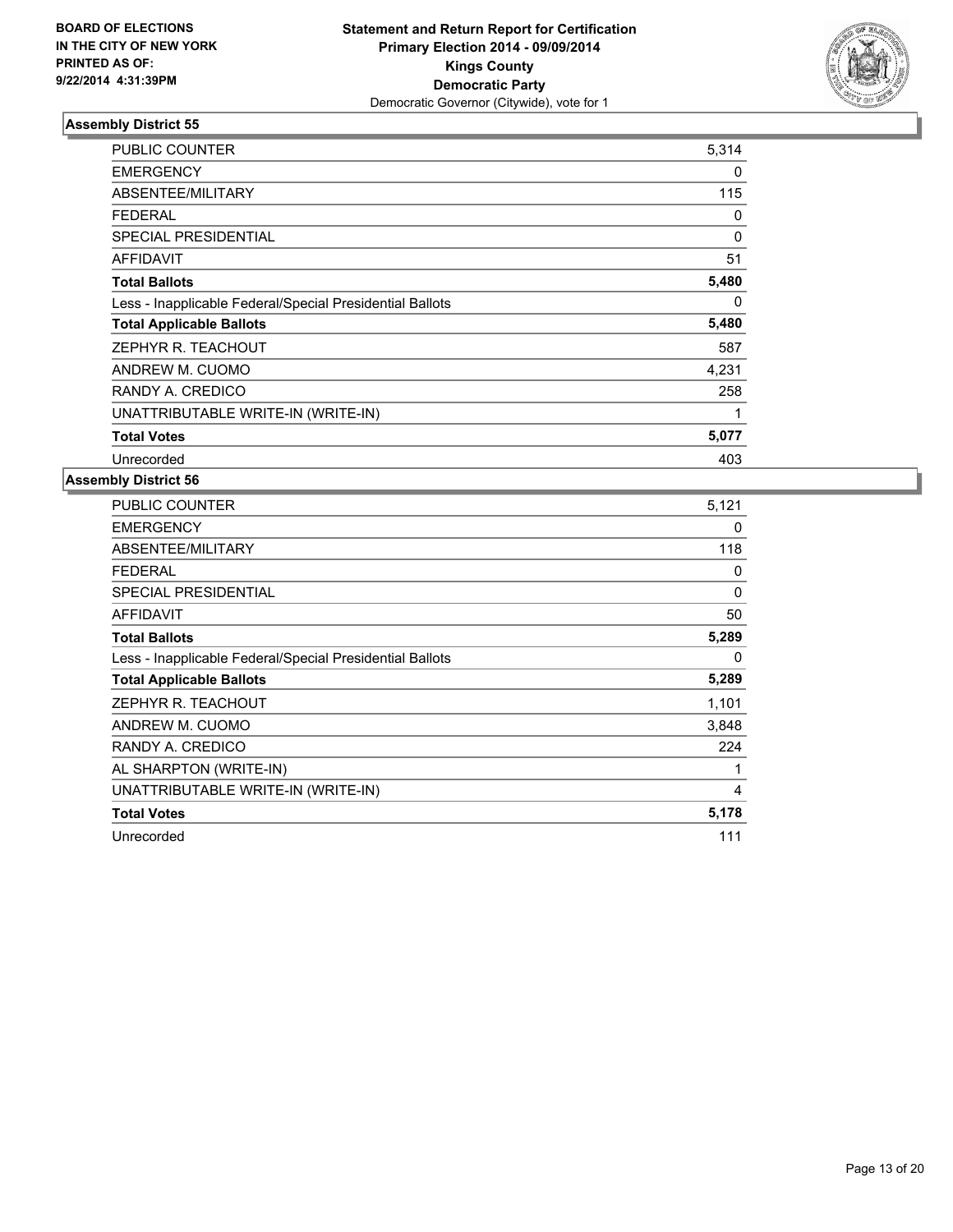

| <b>PUBLIC COUNTER</b>                                    | 5,314    |
|----------------------------------------------------------|----------|
| <b>EMERGENCY</b>                                         | 0        |
| ABSENTEE/MILITARY                                        | 115      |
| <b>FEDERAL</b>                                           | 0        |
| <b>SPECIAL PRESIDENTIAL</b>                              | $\Omega$ |
| AFFIDAVIT                                                | 51       |
| <b>Total Ballots</b>                                     | 5,480    |
| Less - Inapplicable Federal/Special Presidential Ballots | 0        |
| <b>Total Applicable Ballots</b>                          | 5,480    |
| ZEPHYR R. TEACHOUT                                       | 587      |
| ANDREW M. CUOMO                                          | 4,231    |
| RANDY A. CREDICO                                         | 258      |
| UNATTRIBUTABLE WRITE-IN (WRITE-IN)                       | 1        |
| <b>Total Votes</b>                                       | 5,077    |
| Unrecorded                                               | 403      |

| <b>PUBLIC COUNTER</b>                                    | 5,121 |
|----------------------------------------------------------|-------|
| <b>EMERGENCY</b>                                         | 0     |
| ABSENTEE/MILITARY                                        | 118   |
| <b>FEDERAL</b>                                           | 0     |
| <b>SPECIAL PRESIDENTIAL</b>                              | 0     |
| AFFIDAVIT                                                | 50    |
| <b>Total Ballots</b>                                     | 5,289 |
| Less - Inapplicable Federal/Special Presidential Ballots | 0     |
| <b>Total Applicable Ballots</b>                          | 5,289 |
| ZEPHYR R. TEACHOUT                                       | 1,101 |
| ANDREW M. CUOMO                                          | 3,848 |
| RANDY A. CREDICO                                         | 224   |
| AL SHARPTON (WRITE-IN)                                   | 1     |
| UNATTRIBUTABLE WRITE-IN (WRITE-IN)                       | 4     |
| <b>Total Votes</b>                                       | 5,178 |
| Unrecorded                                               | 111   |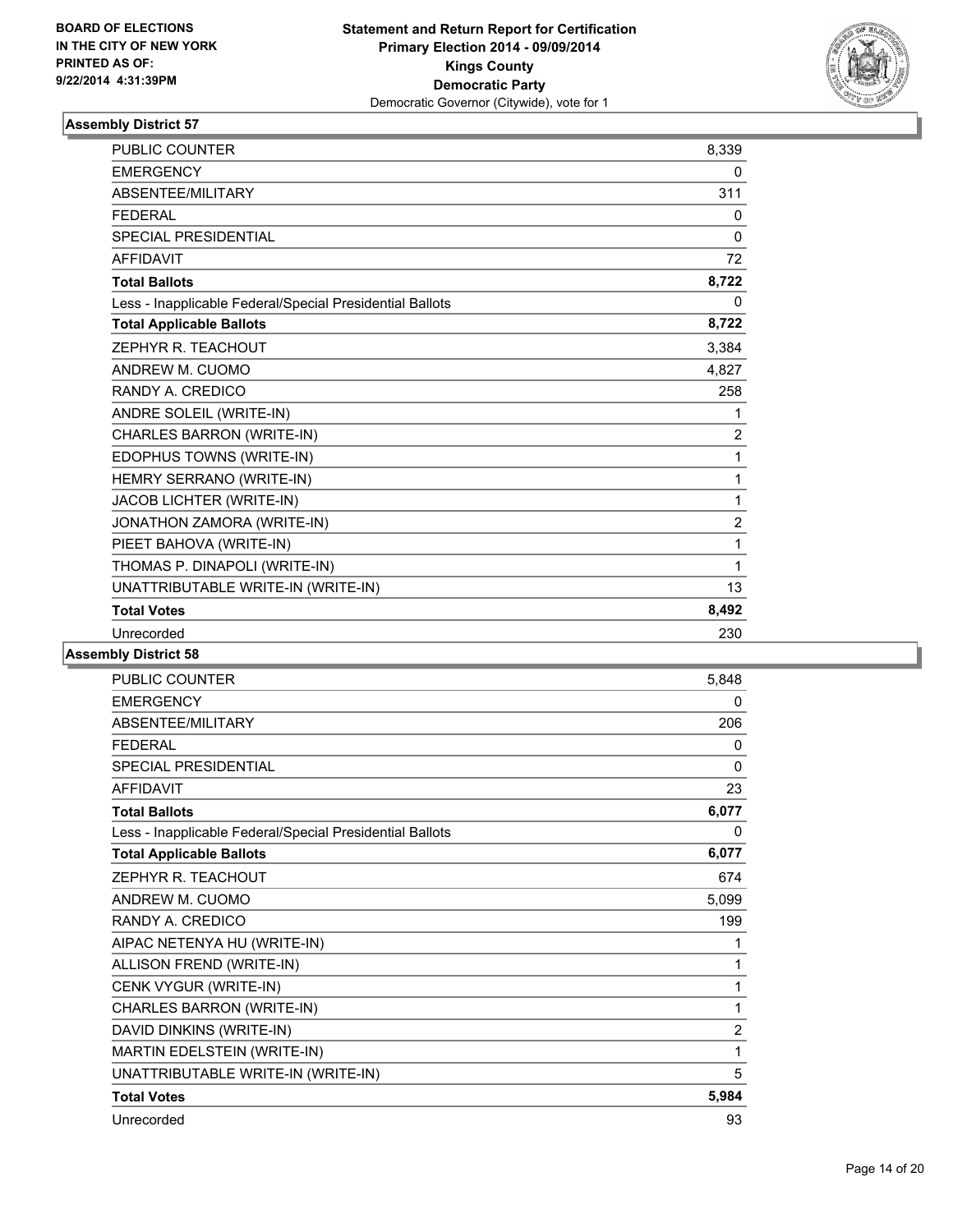

| <b>EMERGENCY</b><br>0<br>ABSENTEE/MILITARY<br>311<br><b>FEDERAL</b><br>0<br><b>SPECIAL PRESIDENTIAL</b><br>0<br><b>AFFIDAVIT</b><br>72<br>8,722<br><b>Total Ballots</b><br>Less - Inapplicable Federal/Special Presidential Ballots<br>0<br>8,722<br><b>Total Applicable Ballots</b><br>ZEPHYR R. TEACHOUT<br>3,384<br>ANDREW M. CUOMO<br>4,827<br>RANDY A. CREDICO<br>258<br>ANDRE SOLEIL (WRITE-IN)<br>1<br>CHARLES BARRON (WRITE-IN)<br>2<br>EDOPHUS TOWNS (WRITE-IN)<br>1<br>HEMRY SERRANO (WRITE-IN)<br>1<br>JACOB LICHTER (WRITE-IN)<br>1<br>JONATHON ZAMORA (WRITE-IN)<br>2<br>PIEET BAHOVA (WRITE-IN)<br>1<br>THOMAS P. DINAPOLI (WRITE-IN)<br>1<br>UNATTRIBUTABLE WRITE-IN (WRITE-IN)<br>13<br>8,492<br><b>Total Votes</b><br>230<br>Unrecorded | PUBLIC COUNTER | 8,339 |
|----------------------------------------------------------------------------------------------------------------------------------------------------------------------------------------------------------------------------------------------------------------------------------------------------------------------------------------------------------------------------------------------------------------------------------------------------------------------------------------------------------------------------------------------------------------------------------------------------------------------------------------------------------------------------------------------------------------------------------------------------------|----------------|-------|
|                                                                                                                                                                                                                                                                                                                                                                                                                                                                                                                                                                                                                                                                                                                                                          |                |       |
|                                                                                                                                                                                                                                                                                                                                                                                                                                                                                                                                                                                                                                                                                                                                                          |                |       |
|                                                                                                                                                                                                                                                                                                                                                                                                                                                                                                                                                                                                                                                                                                                                                          |                |       |
|                                                                                                                                                                                                                                                                                                                                                                                                                                                                                                                                                                                                                                                                                                                                                          |                |       |
|                                                                                                                                                                                                                                                                                                                                                                                                                                                                                                                                                                                                                                                                                                                                                          |                |       |
|                                                                                                                                                                                                                                                                                                                                                                                                                                                                                                                                                                                                                                                                                                                                                          |                |       |
|                                                                                                                                                                                                                                                                                                                                                                                                                                                                                                                                                                                                                                                                                                                                                          |                |       |
|                                                                                                                                                                                                                                                                                                                                                                                                                                                                                                                                                                                                                                                                                                                                                          |                |       |
|                                                                                                                                                                                                                                                                                                                                                                                                                                                                                                                                                                                                                                                                                                                                                          |                |       |
|                                                                                                                                                                                                                                                                                                                                                                                                                                                                                                                                                                                                                                                                                                                                                          |                |       |
|                                                                                                                                                                                                                                                                                                                                                                                                                                                                                                                                                                                                                                                                                                                                                          |                |       |
|                                                                                                                                                                                                                                                                                                                                                                                                                                                                                                                                                                                                                                                                                                                                                          |                |       |
|                                                                                                                                                                                                                                                                                                                                                                                                                                                                                                                                                                                                                                                                                                                                                          |                |       |
|                                                                                                                                                                                                                                                                                                                                                                                                                                                                                                                                                                                                                                                                                                                                                          |                |       |
|                                                                                                                                                                                                                                                                                                                                                                                                                                                                                                                                                                                                                                                                                                                                                          |                |       |
|                                                                                                                                                                                                                                                                                                                                                                                                                                                                                                                                                                                                                                                                                                                                                          |                |       |
|                                                                                                                                                                                                                                                                                                                                                                                                                                                                                                                                                                                                                                                                                                                                                          |                |       |
|                                                                                                                                                                                                                                                                                                                                                                                                                                                                                                                                                                                                                                                                                                                                                          |                |       |
|                                                                                                                                                                                                                                                                                                                                                                                                                                                                                                                                                                                                                                                                                                                                                          |                |       |
|                                                                                                                                                                                                                                                                                                                                                                                                                                                                                                                                                                                                                                                                                                                                                          |                |       |
|                                                                                                                                                                                                                                                                                                                                                                                                                                                                                                                                                                                                                                                                                                                                                          |                |       |
|                                                                                                                                                                                                                                                                                                                                                                                                                                                                                                                                                                                                                                                                                                                                                          |                |       |

| PUBLIC COUNTER                                           | 5,848          |
|----------------------------------------------------------|----------------|
| <b>EMERGENCY</b>                                         | 0              |
| ABSENTEE/MILITARY                                        | 206            |
| <b>FFDFRAL</b>                                           | 0              |
| <b>SPECIAL PRESIDENTIAL</b>                              | 0              |
| <b>AFFIDAVIT</b>                                         | 23             |
| <b>Total Ballots</b>                                     | 6,077          |
| Less - Inapplicable Federal/Special Presidential Ballots | 0              |
| <b>Total Applicable Ballots</b>                          | 6,077          |
| ZEPHYR R. TEACHOUT                                       | 674            |
| ANDREW M. CUOMO                                          | 5,099          |
| RANDY A. CREDICO                                         | 199            |
| AIPAC NETENYA HU (WRITE-IN)                              | 1              |
| ALLISON FREND (WRITE-IN)                                 | 1              |
| CENK VYGUR (WRITE-IN)                                    | 1              |
| CHARLES BARRON (WRITE-IN)                                | 1              |
| DAVID DINKINS (WRITE-IN)                                 | $\overline{2}$ |
| MARTIN EDELSTEIN (WRITE-IN)                              | 1              |
| UNATTRIBUTABLE WRITE-IN (WRITE-IN)                       | 5              |
| <b>Total Votes</b>                                       | 5,984          |
| Unrecorded                                               | 93             |
|                                                          |                |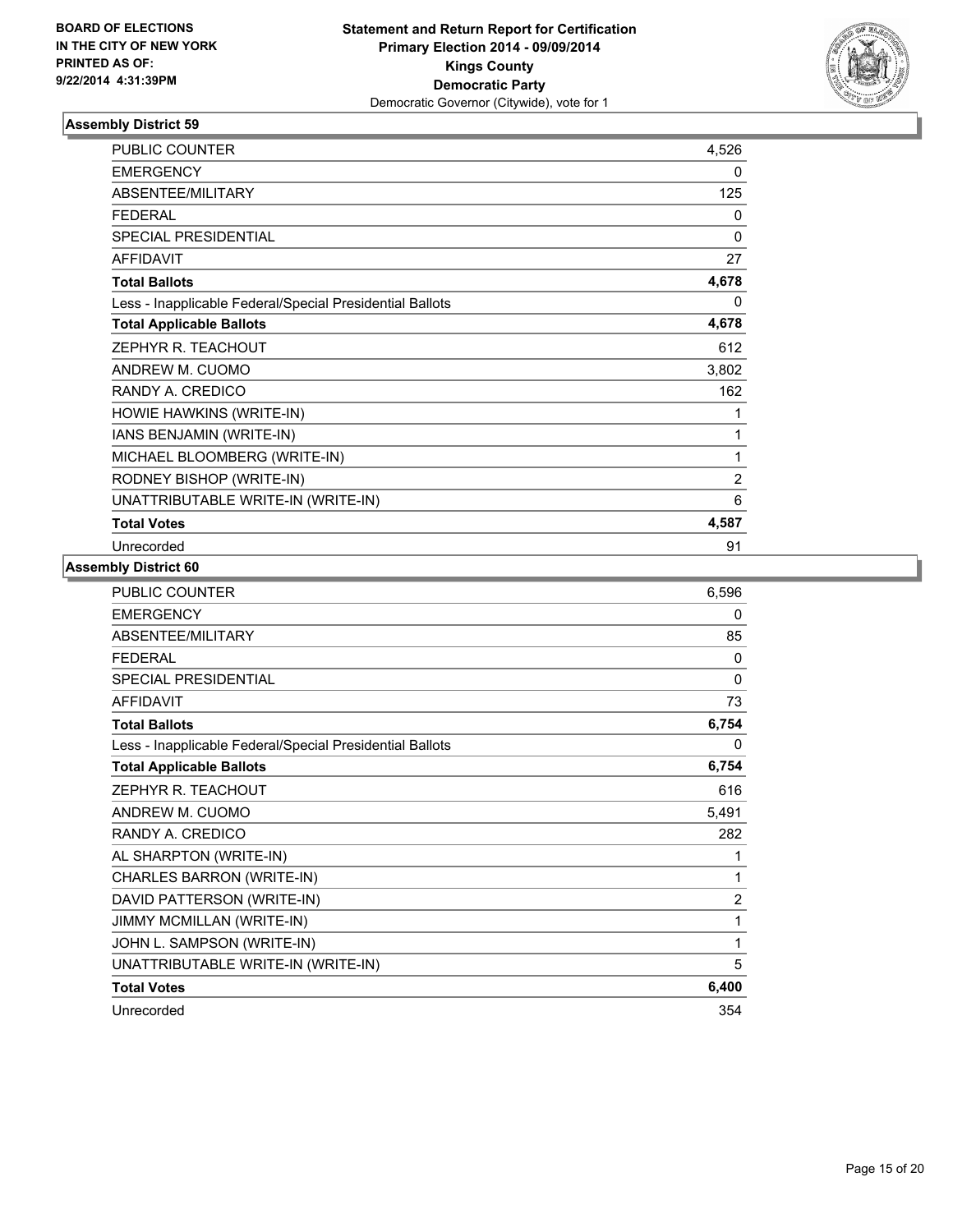

| <b>PUBLIC COUNTER</b>                                    | 4,526          |
|----------------------------------------------------------|----------------|
| <b>EMERGENCY</b>                                         | 0              |
| ABSENTEE/MILITARY                                        | 125            |
| <b>FEDERAL</b>                                           | 0              |
| <b>SPECIAL PRESIDENTIAL</b>                              | 0              |
| <b>AFFIDAVIT</b>                                         | 27             |
| <b>Total Ballots</b>                                     | 4,678          |
| Less - Inapplicable Federal/Special Presidential Ballots | 0              |
| <b>Total Applicable Ballots</b>                          | 4,678          |
| ZEPHYR R. TEACHOUT                                       | 612            |
| ANDREW M. CUOMO                                          | 3,802          |
| RANDY A. CREDICO                                         | 162            |
| HOWIE HAWKINS (WRITE-IN)                                 | 1              |
| IANS BENJAMIN (WRITE-IN)                                 | 1              |
| MICHAEL BLOOMBERG (WRITE-IN)                             | 1              |
| RODNEY BISHOP (WRITE-IN)                                 | $\overline{2}$ |
| UNATTRIBUTABLE WRITE-IN (WRITE-IN)                       | 6              |
| <b>Total Votes</b>                                       | 4,587          |
| Unrecorded                                               | 91             |

| PUBLIC COUNTER                                           | 6,596          |
|----------------------------------------------------------|----------------|
| <b>EMERGENCY</b>                                         | 0              |
| ABSENTEE/MILITARY                                        | 85             |
| <b>FEDERAL</b>                                           | 0              |
| <b>SPECIAL PRESIDENTIAL</b>                              | 0              |
| <b>AFFIDAVIT</b>                                         | 73             |
| <b>Total Ballots</b>                                     | 6,754          |
| Less - Inapplicable Federal/Special Presidential Ballots | 0              |
| <b>Total Applicable Ballots</b>                          | 6,754          |
| ZEPHYR R. TEACHOUT                                       | 616            |
| ANDREW M. CUOMO                                          | 5,491          |
| RANDY A. CREDICO                                         | 282            |
| AL SHARPTON (WRITE-IN)                                   | 1              |
| CHARLES BARRON (WRITE-IN)                                | 1              |
| DAVID PATTERSON (WRITE-IN)                               | $\overline{2}$ |
| JIMMY MCMILLAN (WRITE-IN)                                | 1              |
| JOHN L. SAMPSON (WRITE-IN)                               | 1              |
| UNATTRIBUTABLE WRITE-IN (WRITE-IN)                       | 5              |
| <b>Total Votes</b>                                       | 6,400          |
| Unrecorded                                               | 354            |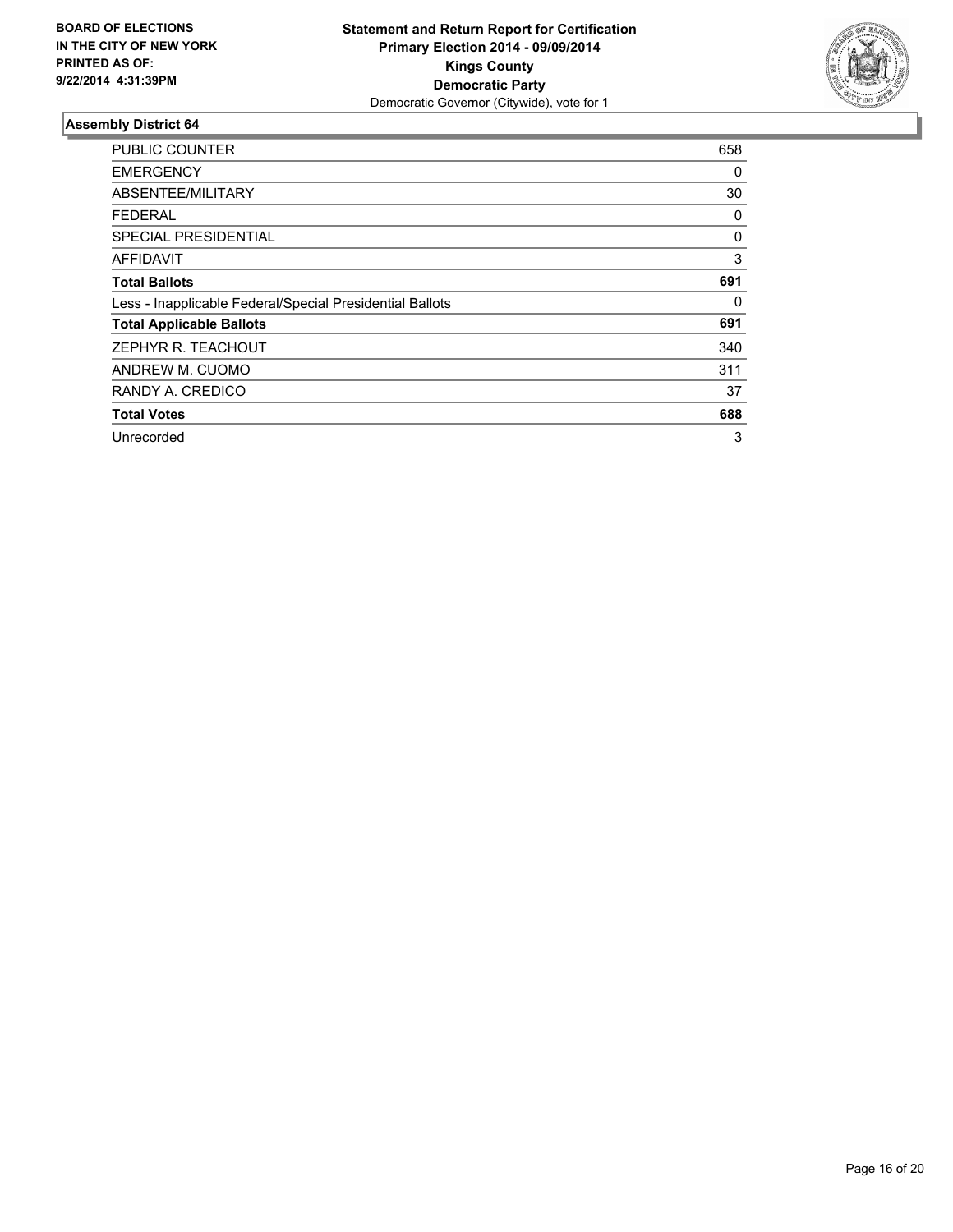

| <b>PUBLIC COUNTER</b>                                    | 658 |
|----------------------------------------------------------|-----|
| <b>EMERGENCY</b>                                         | 0   |
| ABSENTEE/MILITARY                                        | 30  |
| <b>FEDERAL</b>                                           | 0   |
| SPECIAL PRESIDENTIAL                                     | 0   |
| AFFIDAVIT                                                | 3   |
| <b>Total Ballots</b>                                     | 691 |
| Less - Inapplicable Federal/Special Presidential Ballots | 0   |
| <b>Total Applicable Ballots</b>                          | 691 |
| ZEPHYR R. TEACHOUT                                       | 340 |
| ANDREW M. CUOMO                                          | 311 |
| RANDY A. CREDICO                                         | 37  |
| <b>Total Votes</b>                                       | 688 |
| Unrecorded                                               | 3   |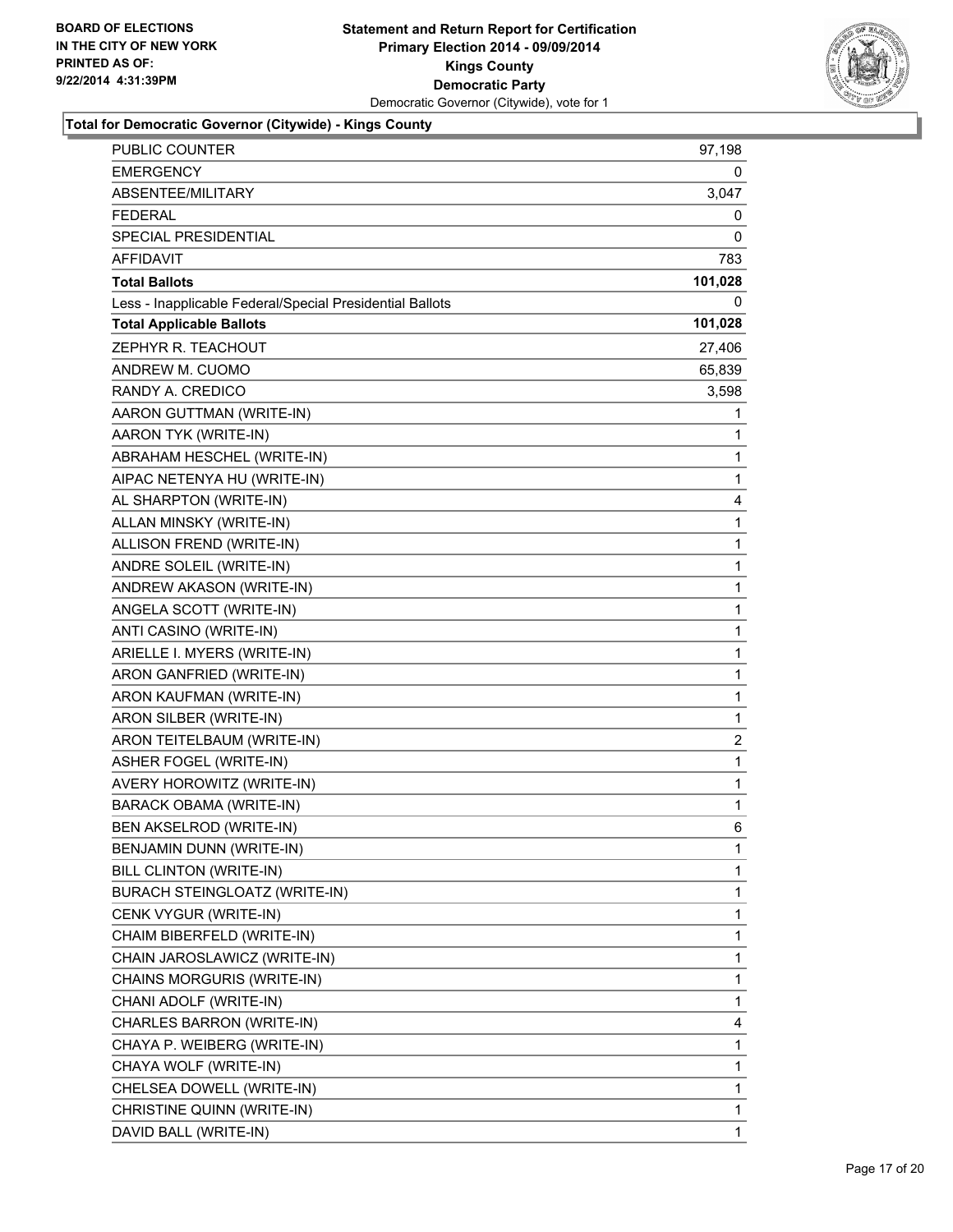

# **Total for Democratic Governor (Citywide) - Kings County**

| <b>PUBLIC COUNTER</b>                                    | 97,198                  |
|----------------------------------------------------------|-------------------------|
| <b>EMERGENCY</b>                                         | 0                       |
| ABSENTEE/MILITARY                                        | 3,047                   |
| FEDERAL                                                  | 0                       |
| SPECIAL PRESIDENTIAL                                     | 0                       |
| AFFIDAVIT                                                | 783                     |
| <b>Total Ballots</b>                                     | 101,028                 |
| Less - Inapplicable Federal/Special Presidential Ballots | 0                       |
| <b>Total Applicable Ballots</b>                          | 101,028                 |
| ZEPHYR R. TEACHOUT                                       | 27,406                  |
| ANDREW M. CUOMO                                          | 65,839                  |
| RANDY A. CREDICO                                         | 3,598                   |
| AARON GUTTMAN (WRITE-IN)                                 | 1                       |
| AARON TYK (WRITE-IN)                                     | 1                       |
| ABRAHAM HESCHEL (WRITE-IN)                               | 1                       |
| AIPAC NETENYA HU (WRITE-IN)                              | 1                       |
| AL SHARPTON (WRITE-IN)                                   | 4                       |
| ALLAN MINSKY (WRITE-IN)                                  | 1                       |
| ALLISON FREND (WRITE-IN)                                 | 1                       |
| ANDRE SOLEIL (WRITE-IN)                                  | 1                       |
| ANDREW AKASON (WRITE-IN)                                 | 1                       |
| ANGELA SCOTT (WRITE-IN)                                  | 1                       |
| ANTI CASINO (WRITE-IN)                                   | 1                       |
| ARIELLE I. MYERS (WRITE-IN)                              | 1                       |
| ARON GANFRIED (WRITE-IN)                                 | 1                       |
| ARON KAUFMAN (WRITE-IN)                                  | 1                       |
| ARON SILBER (WRITE-IN)                                   | $\mathbf 1$             |
| ARON TEITELBAUM (WRITE-IN)                               | $\overline{\mathbf{c}}$ |
| ASHER FOGEL (WRITE-IN)                                   | 1                       |
| AVERY HOROWITZ (WRITE-IN)                                | $\mathbf 1$             |
| <b>BARACK OBAMA (WRITE-IN)</b>                           | 1                       |
| BEN AKSELROD (WRITE-IN)                                  | 6                       |
| BENJAMIN DUNN (WRITE-IN)                                 | $\mathbf 1$             |
| BILL CLINTON (WRITE-IN)                                  | 1                       |
| BURACH STEINGLOATZ (WRITE-IN)                            | 1                       |
| CENK VYGUR (WRITE-IN)                                    | 1                       |
| CHAIM BIBERFELD (WRITE-IN)                               | 1                       |
| CHAIN JAROSLAWICZ (WRITE-IN)                             | 1                       |
| CHAINS MORGURIS (WRITE-IN)                               | 1                       |
| CHANI ADOLF (WRITE-IN)                                   | 1                       |
| CHARLES BARRON (WRITE-IN)                                | 4                       |
| CHAYA P. WEIBERG (WRITE-IN)                              | 1                       |
| CHAYA WOLF (WRITE-IN)                                    | 1                       |
| CHELSEA DOWELL (WRITE-IN)                                | 1                       |
| CHRISTINE QUINN (WRITE-IN)                               | 1                       |
| DAVID BALL (WRITE-IN)                                    | 1                       |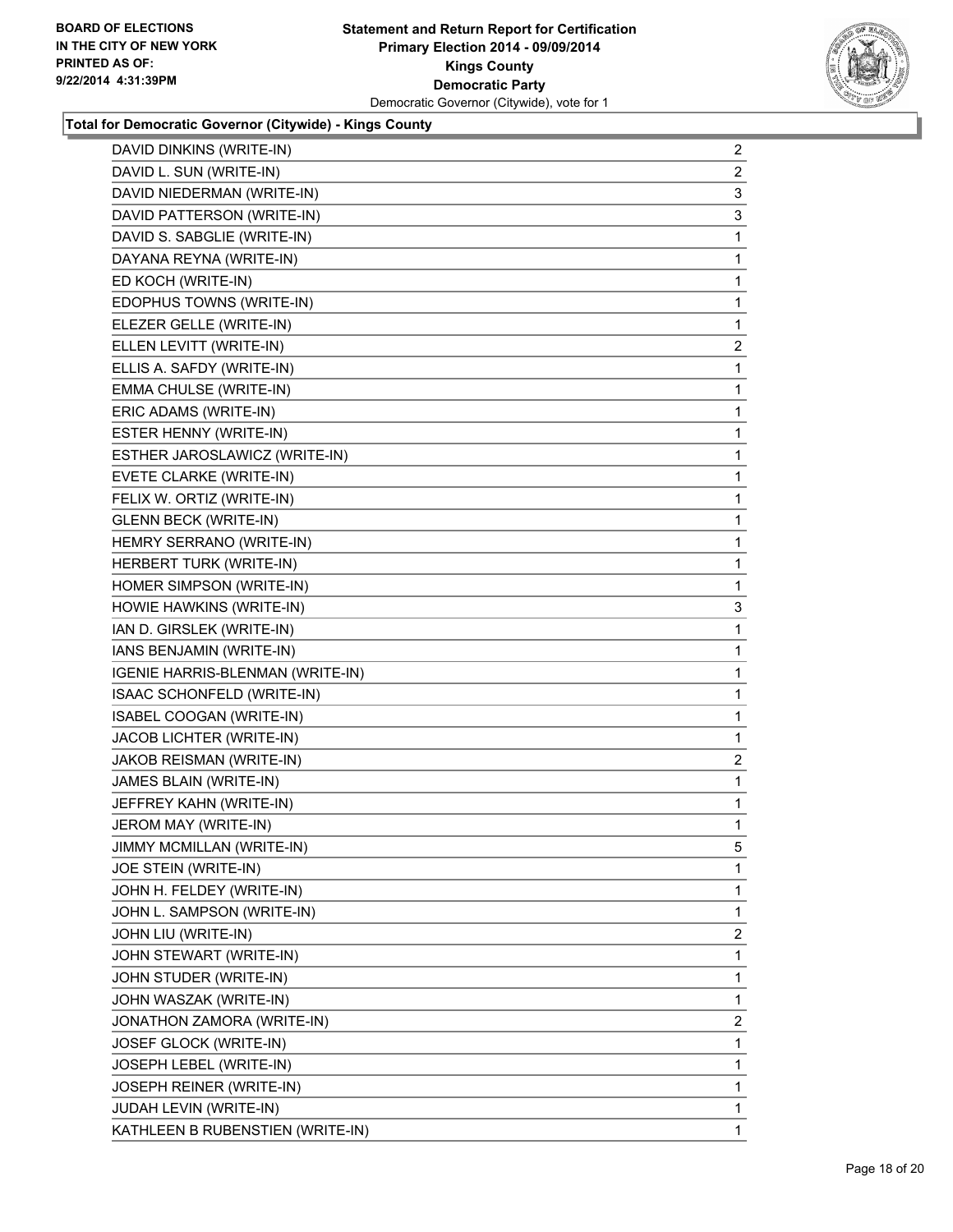

**Total for Democratic Governor (Citywide) - Kings County**

| $\overline{a}$ |
|----------------|
| $\overline{2}$ |
| 3              |
| 3              |
| 1              |
| 1              |
| 1              |
| 1              |
| 1              |
| $\overline{a}$ |
| 1              |
| 1              |
| 1              |
| 1              |
| 1              |
| 1              |
| 1              |
| 1              |
| 1              |
| 1              |
| 1              |
| 3              |
| 1              |
| 1              |
| 1              |
| 1              |
| 1              |
| 1              |
| 2              |
|                |
| 1              |
| 1              |
| 1              |
| 5              |
| 1              |
| 1              |
| 1              |
| 2              |
| 1              |
| 1              |
| 1              |
| $\overline{2}$ |
| 1              |
| 1              |
| 1              |
| 1              |
|                |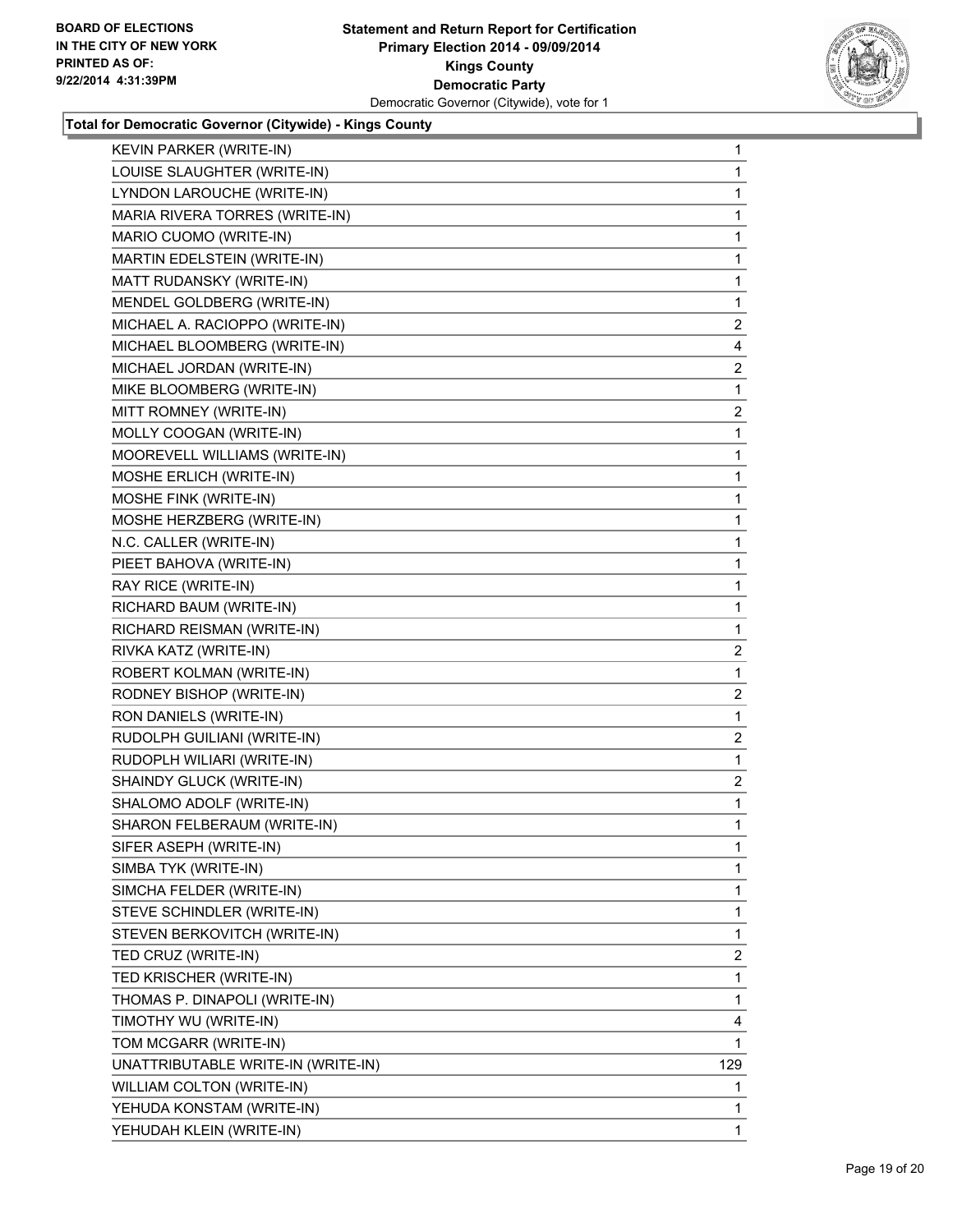

**Total for Democratic Governor (Citywide) - Kings County**

| KEVIN PARKER (WRITE-IN)            | 1              |
|------------------------------------|----------------|
| LOUISE SLAUGHTER (WRITE-IN)        | 1              |
| LYNDON LAROUCHE (WRITE-IN)         | 1              |
| MARIA RIVERA TORRES (WRITE-IN)     | 1              |
| MARIO CUOMO (WRITE-IN)             | 1              |
| MARTIN EDELSTEIN (WRITE-IN)        | 1              |
| MATT RUDANSKY (WRITE-IN)           | 1              |
| MENDEL GOLDBERG (WRITE-IN)         | 1              |
| MICHAEL A. RACIOPPO (WRITE-IN)     | $\overline{2}$ |
| MICHAEL BLOOMBERG (WRITE-IN)       | 4              |
| MICHAEL JORDAN (WRITE-IN)          | 2              |
| MIKE BLOOMBERG (WRITE-IN)          | 1              |
| MITT ROMNEY (WRITE-IN)             | $\overline{a}$ |
| MOLLY COOGAN (WRITE-IN)            | 1              |
| MOOREVELL WILLIAMS (WRITE-IN)      | 1              |
| MOSHE ERLICH (WRITE-IN)            | 1              |
| MOSHE FINK (WRITE-IN)              | 1              |
| MOSHE HERZBERG (WRITE-IN)          | 1              |
| N.C. CALLER (WRITE-IN)             | 1              |
| PIEET BAHOVA (WRITE-IN)            | 1              |
| RAY RICE (WRITE-IN)                | 1              |
| RICHARD BAUM (WRITE-IN)            | 1              |
| RICHARD REISMAN (WRITE-IN)         | 1              |
| RIVKA KATZ (WRITE-IN)              | 2              |
| ROBERT KOLMAN (WRITE-IN)           | 1              |
| RODNEY BISHOP (WRITE-IN)           | 2              |
| RON DANIELS (WRITE-IN)             | 1              |
| RUDOLPH GUILIANI (WRITE-IN)        | $\overline{a}$ |
| RUDOPLH WILIARI (WRITE-IN)         | 1              |
| SHAINDY GLUCK (WRITE-IN)           | 2              |
| SHALOMO ADOLF (WRITE-IN)           | 1              |
| SHARON FELBERAUM (WRITE-IN)        | 1              |
| SIFER ASEPH (WRITE-IN)             | 1              |
| SIMBA TYK (WRITE-IN)               | 1              |
| SIMCHA FELDER (WRITE-IN)           | 1              |
| STEVE SCHINDLER (WRITE-IN)         | 1              |
| STEVEN BERKOVITCH (WRITE-IN)       | 1              |
| TED CRUZ (WRITE-IN)                | 2              |
| TED KRISCHER (WRITE-IN)            | 1              |
| THOMAS P. DINAPOLI (WRITE-IN)      | 1              |
| TIMOTHY WU (WRITE-IN)              | 4              |
| TOM MCGARR (WRITE-IN)              | 1              |
| UNATTRIBUTABLE WRITE-IN (WRITE-IN) | 129            |
| WILLIAM COLTON (WRITE-IN)          | 1              |
| YEHUDA KONSTAM (WRITE-IN)          | 1              |
| YEHUDAH KLEIN (WRITE-IN)           | 1              |